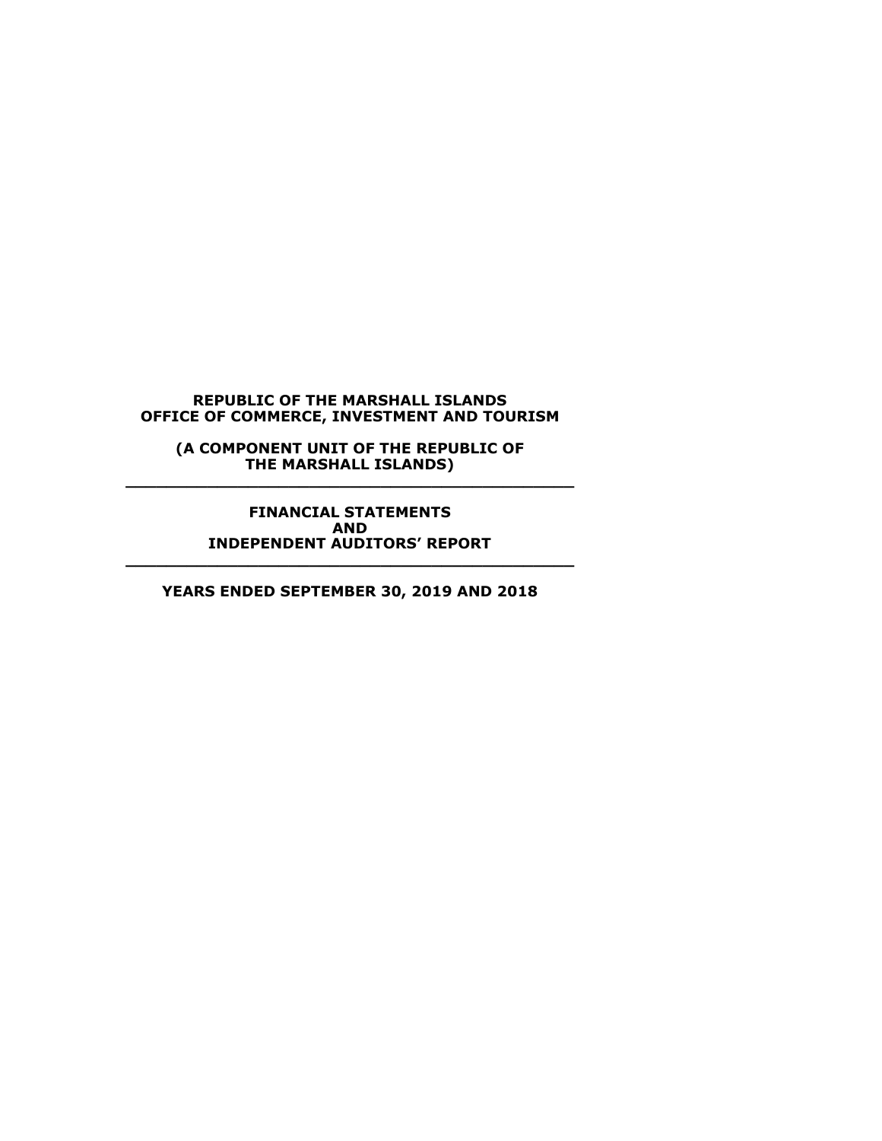**(A COMPONENT UNIT OF THE REPUBLIC OF THE MARSHALL ISLANDS) \_\_\_\_\_\_\_\_\_\_\_\_\_\_\_\_\_\_\_\_\_\_\_\_\_\_\_\_\_\_\_\_\_\_\_\_\_\_\_\_\_\_\_\_**

**FINANCIAL STATEMENTS AND INDEPENDENT AUDITORS' REPORT \_\_\_\_\_\_\_\_\_\_\_\_\_\_\_\_\_\_\_\_\_\_\_\_\_\_\_\_\_\_\_\_\_\_\_\_\_\_\_\_\_\_\_\_**

**YEARS ENDED SEPTEMBER 30, 2019 AND 2018**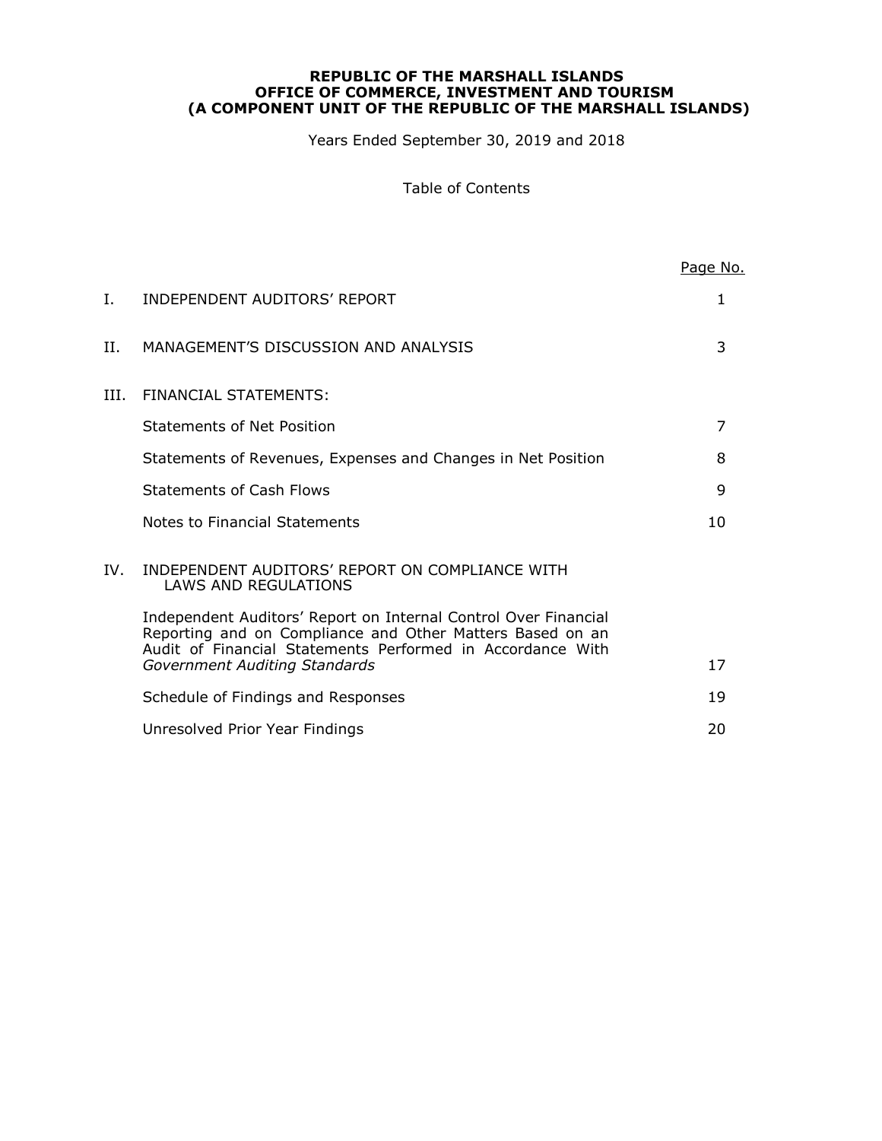Years Ended September 30, 2019 and 2018

Table of Contents

|      |                                                                                                                                                                                            | Page No. |
|------|--------------------------------------------------------------------------------------------------------------------------------------------------------------------------------------------|----------|
| I.   | INDEPENDENT AUDITORS' REPORT                                                                                                                                                               | 1        |
| H.   | MANAGEMENT'S DISCUSSION AND ANALYSIS                                                                                                                                                       | 3        |
| III. | FINANCIAL STATEMENTS:                                                                                                                                                                      |          |
|      | Statements of Net Position                                                                                                                                                                 | 7        |
|      | Statements of Revenues, Expenses and Changes in Net Position                                                                                                                               | 8        |
|      | <b>Statements of Cash Flows</b>                                                                                                                                                            | 9        |
|      | Notes to Financial Statements                                                                                                                                                              | 10       |
| IV.  | INDEPENDENT AUDITORS' REPORT ON COMPLIANCE WITH<br>LAWS AND REGULATIONS                                                                                                                    |          |
|      | Independent Auditors' Report on Internal Control Over Financial<br>Reporting and on Compliance and Other Matters Based on an<br>Audit of Financial Statements Performed in Accordance With |          |
|      | Government Auditing Standards                                                                                                                                                              | 17       |
|      | Schedule of Findings and Responses                                                                                                                                                         | 19       |
|      | Unresolved Prior Year Findings                                                                                                                                                             | 20       |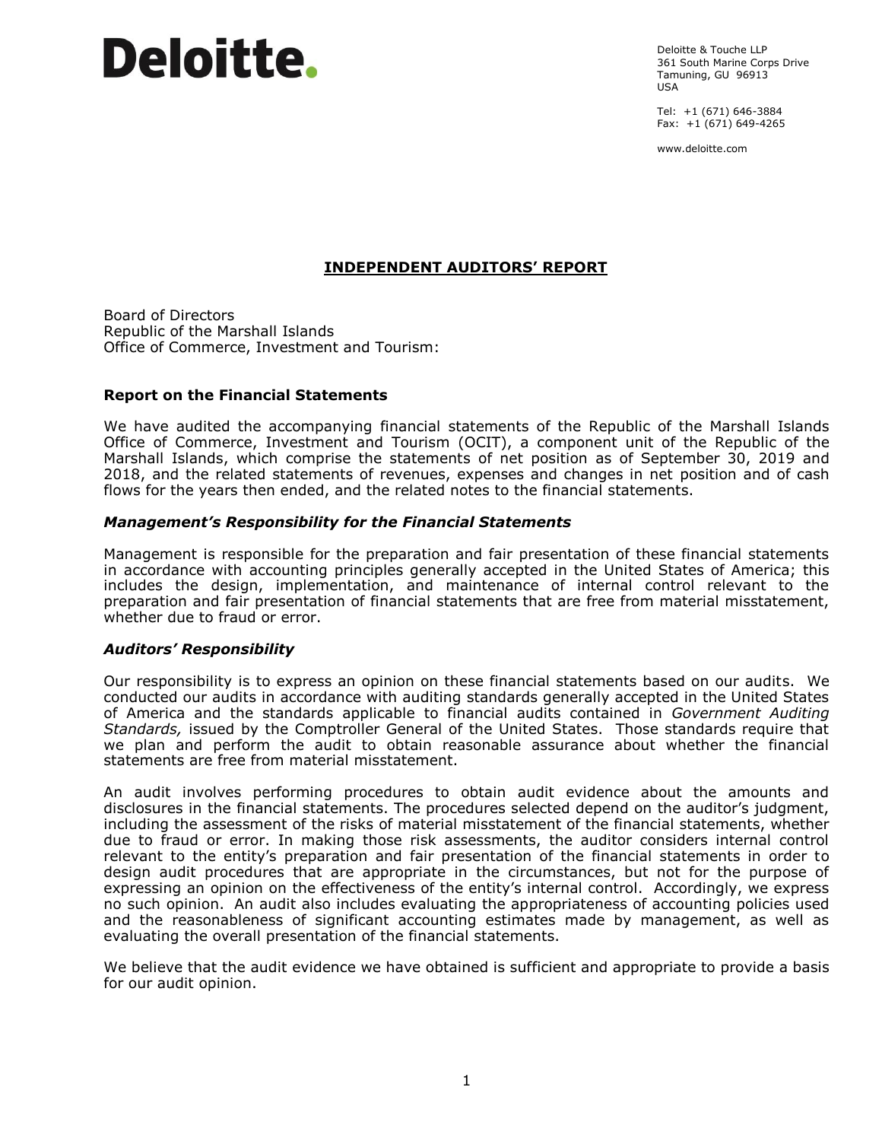# **Deloitte.**

Deloitte & Touche LLP 361 South Marine Corps Drive Tamuning, GU 96913 USA

Tel: +1 (671) 646-3884 Fax: +1 (671) 649-4265

www.deloitte.com

# **INDEPENDENT AUDITORS' REPORT**

Board of Directors Republic of the Marshall Islands Office of Commerce, Investment and Tourism:

### **Report on the Financial Statements**

We have audited the accompanying financial statements of the Republic of the Marshall Islands Office of Commerce, Investment and Tourism (OCIT), a component unit of the Republic of the Marshall Islands, which comprise the statements of net position as of September 30, 2019 and 2018, and the related statements of revenues, expenses and changes in net position and of cash flows for the years then ended, and the related notes to the financial statements.

### *Management's Responsibility for the Financial Statements*

Management is responsible for the preparation and fair presentation of these financial statements in accordance with accounting principles generally accepted in the United States of America; this includes the design, implementation, and maintenance of internal control relevant to the preparation and fair presentation of financial statements that are free from material misstatement, whether due to fraud or error.

#### *Auditors' Responsibility*

Our responsibility is to express an opinion on these financial statements based on our audits. We conducted our audits in accordance with auditing standards generally accepted in the United States of America and the standards applicable to financial audits contained in *Government Auditing Standards,* issued by the Comptroller General of the United States. Those standards require that we plan and perform the audit to obtain reasonable assurance about whether the financial statements are free from material misstatement.

An audit involves performing procedures to obtain audit evidence about the amounts and disclosures in the financial statements. The procedures selected depend on the auditor's judgment, including the assessment of the risks of material misstatement of the financial statements, whether due to fraud or error. In making those risk assessments, the auditor considers internal control relevant to the entity's preparation and fair presentation of the financial statements in order to design audit procedures that are appropriate in the circumstances, but not for the purpose of expressing an opinion on the effectiveness of the entity's internal control. Accordingly, we express no such opinion. An audit also includes evaluating the appropriateness of accounting policies used and the reasonableness of significant accounting estimates made by management, as well as evaluating the overall presentation of the financial statements.

We believe that the audit evidence we have obtained is sufficient and appropriate to provide a basis for our audit opinion.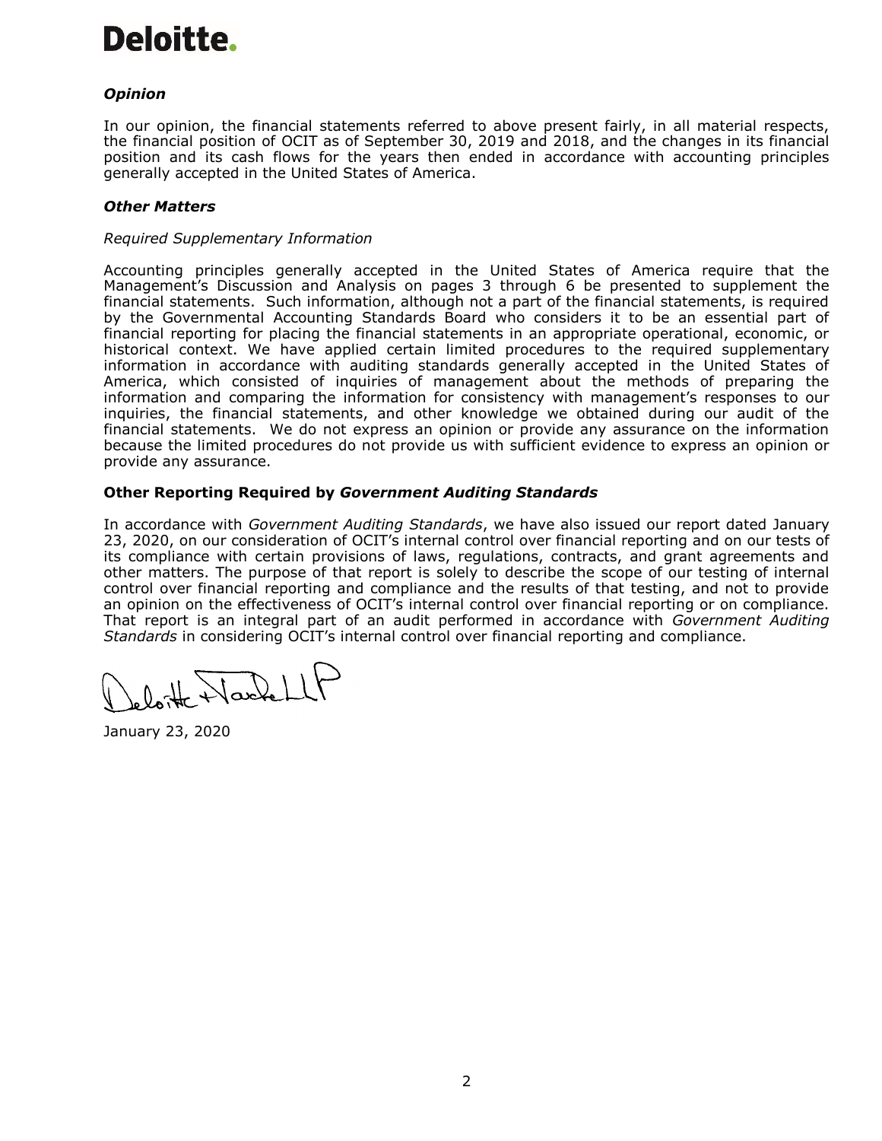# Deloitte.

# *Opinion*

In our opinion, the financial statements referred to above present fairly, in all material respects, the financial position of OCIT as of September 30, 2019 and 2018, and the changes in its financial position and its cash flows for the years then ended in accordance with accounting principles generally accepted in the United States of America.

# *Other Matters*

# *Required Supplementary Information*

Accounting principles generally accepted in the United States of America require that the Management's Discussion and Analysis on pages 3 through 6 be presented to supplement the financial statements. Such information, although not a part of the financial statements, is required by the Governmental Accounting Standards Board who considers it to be an essential part of financial reporting for placing the financial statements in an appropriate operational, economic, or historical context. We have applied certain limited procedures to the required supplementary information in accordance with auditing standards generally accepted in the United States of America, which consisted of inquiries of management about the methods of preparing the information and comparing the information for consistency with management's responses to our inquiries, the financial statements, and other knowledge we obtained during our audit of the financial statements. We do not express an opinion or provide any assurance on the information because the limited procedures do not provide us with sufficient evidence to express an opinion or provide any assurance.

# **Other Reporting Required by** *Government Auditing Standards*

In accordance with *Government Auditing Standards*, we have also issued our report dated January 23, 2020, on our consideration of OCIT's internal control over financial reporting and on our tests of its compliance with certain provisions of laws, regulations, contracts, and grant agreements and other matters. The purpose of that report is solely to describe the scope of our testing of internal control over financial reporting and compliance and the results of that testing, and not to provide an opinion on the effectiveness of OCIT's internal control over financial reporting or on compliance. That report is an integral part of an audit performed in accordance with *Government Auditing Standards* in considering OCIT's internal control over financial reporting and compliance.

eloitte Nachell

January 23, 2020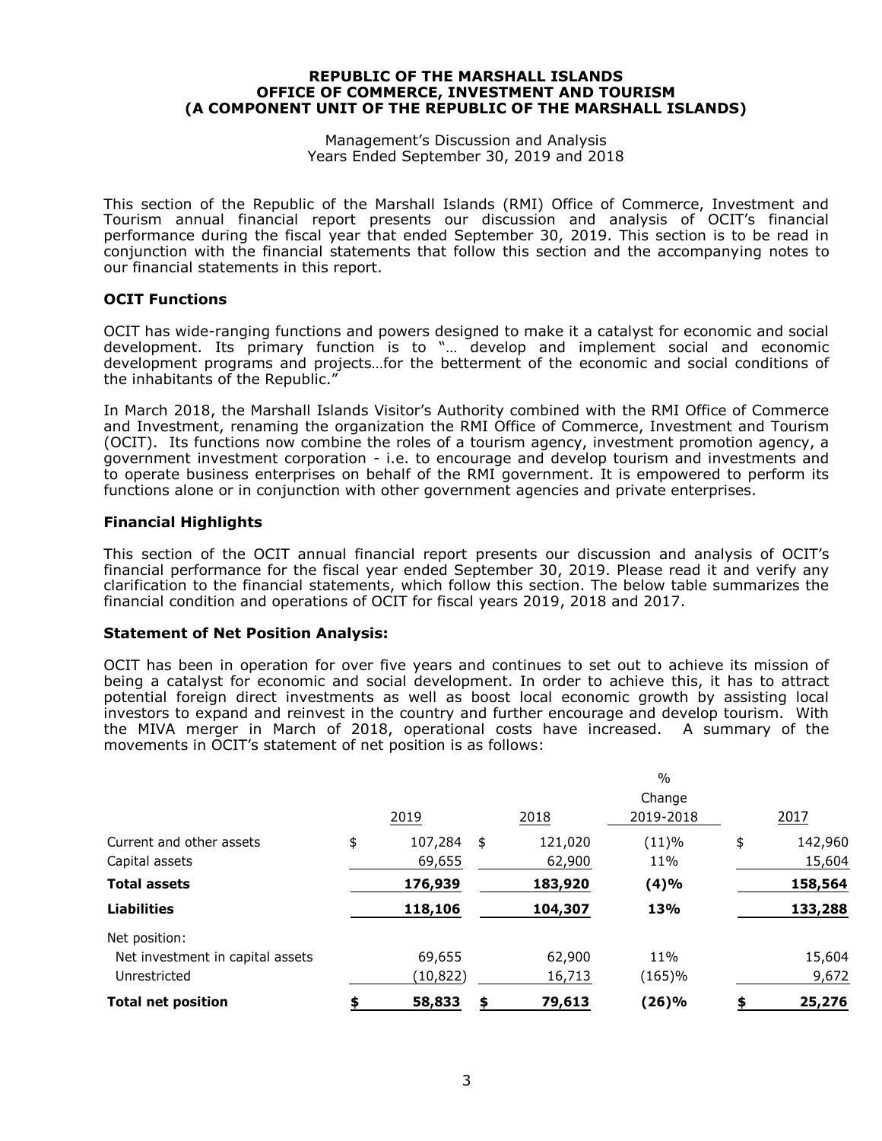#### Management's Discussion and Analysis Years Ended September 30, 2019 and 2018

This section of the Republic of the Marshall Islands (RMI) Office of Commerce, Investment and Tourism annual financial report presents our discussion and analysis of OCIT's financial performance during the fiscal year that ended September 30, 2019. This section is to be read in conjunction with the financial statements that follow this section and the accompanying notes to our financial statements in this report.

### **OCIT Functions**

OCIT has wide-ranging functions and powers designed to make it a catalyst for economic and social development. Its primary function is to "… develop and implement social and economic development programs and projects…for the betterment of the economic and social conditions of the inhabitants of the Republic."

In March 2018, the Marshall Islands Visitor's Authority combined with the RMI Office of Commerce and Investment, renaming the organization the RMI Office of Commerce, Investment and Tourism (OCIT). Its functions now combine the roles of a tourism agency, investment promotion agency, a government investment corporation - i.e. to encourage and develop tourism and investments and to operate business enterprises on behalf of the RMI government. It is empowered to perform its functions alone or in conjunction with other government agencies and private enterprises.

### **Financial Highlights**

This section of the OCIT annual financial report presents our discussion and analysis of OCIT's financial performance for the fiscal year ended September 30, 2019. Please read it and verify any clarification to the financial statements, which follow this section. The below table summarizes the financial condition and operations of OCIT for fiscal years 2019, 2018 and 2017.

#### **Statement of Net Position Analysis:**

OCIT has been in operation for over five years and continues to set out to achieve its mission of being a catalyst for economic and social development. In order to achieve this, it has to attract potential foreign direct investments as well as boost local economic growth by assisting local investors to expand and reinvest in the country and further encourage and develop tourism. With the MIVA merger in March of 2018, operational costs have increased. A summary of the movements in OCIT's statement of net position is as follows:

|                                  |               |               | $\frac{0}{0}$ |               |
|----------------------------------|---------------|---------------|---------------|---------------|
|                                  |               |               | Change        |               |
|                                  | 2019          | 2018          | 2019-2018     | 2017          |
| Current and other assets         | \$<br>107,284 | \$<br>121,020 | (11)%         | \$<br>142,960 |
| Capital assets                   | 69,655        | 62,900        | 11%           | 15,604        |
| <b>Total assets</b>              | 176,939       | 183,920       | (4)%          | 158,564       |
| <b>Liabilities</b>               | 118,106       | 104,307       | 13%           | 133,288       |
| Net position:                    |               |               |               |               |
| Net investment in capital assets | 69,655        | 62,900        | 11%           | 15,604        |
| Unrestricted                     | (10, 822)     | 16,713        | (165)%        | 9,672         |
| <b>Total net position</b>        | 58,833        | \$<br>79,613  | (26)%         | \$<br>25,276  |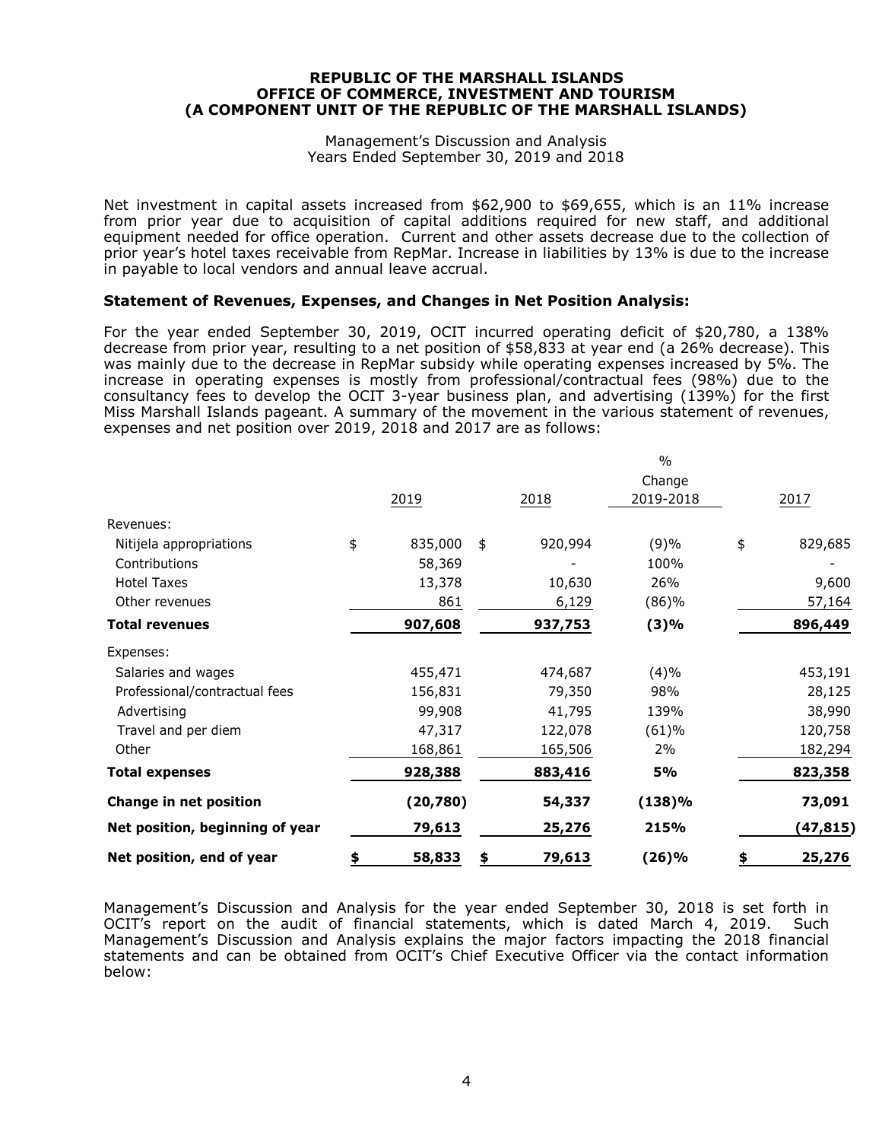#### Management's Discussion and Analysis Years Ended September 30, 2019 and 2018

Net investment in capital assets increased from \$62,900 to \$69,655, which is an 11% increase from prior year due to acquisition of capital additions required for new staff, and additional equipment needed for office operation. Current and other assets decrease due to the collection of prior year's hotel taxes receivable from RepMar. Increase in liabilities by 13% is due to the increase in payable to local vendors and annual leave accrual.

# **Statement of Revenues, Expenses, and Changes in Net Position Analysis:**

For the year ended September 30, 2019, OCIT incurred operating deficit of \$20,780, a 138% decrease from prior year, resulting to a net position of \$58,833 at year end (a 26% decrease). This was mainly due to the decrease in RepMar subsidy while operating expenses increased by 5%. The increase in operating expenses is mostly from professional/contractual fees (98%) due to the consultancy fees to develop the OCIT 3-year business plan, and advertising (139%) for the first Miss Marshall Islands pageant. A summary of the movement in the various statement of revenues, expenses and net position over 2019, 2018 and 2017 are as follows:

| Net position, end of year            | \$<br>58,833  | \$<br>79,613  | (26)%     | \$<br>25,276  |
|--------------------------------------|---------------|---------------|-----------|---------------|
| Net position, beginning of year      | 79,613        | 25,276        | 215%      | (47, 815)     |
| Change in net position               | (20, 780)     | 54,337        | (138)%    | 73,091        |
| <b>Total expenses</b>                | 928,388       | 883,416       | 5%        | 823,358       |
| Other                                | 168,861       | 165,506       | 2%        | 182,294       |
| Travel and per diem                  | 47,317        | 122,078       | (61)%     | 120,758       |
| Advertising                          | 99,908        | 41,795        | 139%      | 38,990        |
| Professional/contractual fees        | 156,831       | 79,350        | 98%       | 28,125        |
| Expenses:<br>Salaries and wages      | 455,471       | 474,687       | (4)%      | 453,191       |
| <b>Total revenues</b>                | 907,608       | 937,753       | (3)%      | 896,449       |
| Other revenues                       | 861           | 6,129         | (86)%     | 57,164        |
| <b>Hotel Taxes</b>                   | 13,378        | 10,630        | 26%       | 9,600         |
| Contributions                        | 58,369        |               | 100%      |               |
| Revenues:<br>Nitijela appropriations | \$<br>835,000 | \$<br>920,994 | (9)%      | \$<br>829,685 |
|                                      | 2019          | 2018          | 2019-2018 | 2017          |
|                                      |               |               | Change    |               |
|                                      |               |               | $\%$      |               |

Management's Discussion and Analysis for the year ended September 30, 2018 is set forth in OCIT's report on the audit of financial statements, which is dated March 4, 2019. Such Management's Discussion and Analysis explains the major factors impacting the 2018 financial statements and can be obtained from OCIT's Chief Executive Officer via the contact information below: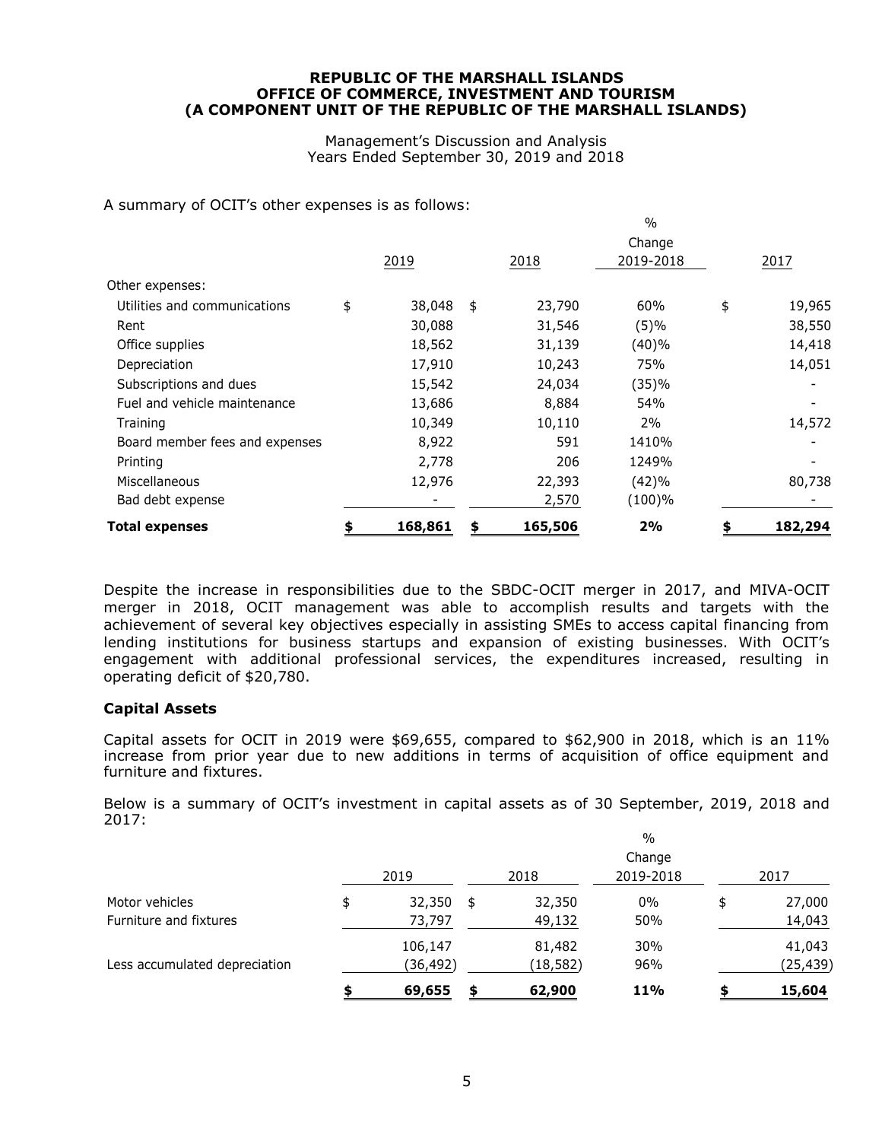Management's Discussion and Analysis Years Ended September 30, 2019 and 2018

 $0/2$ 

A summary of OCIT's other expenses is as follows:

| <b>Total expenses</b>          | 168,861      | S  | 165,506 | 2%                  | 182,294      |
|--------------------------------|--------------|----|---------|---------------------|--------------|
| Bad debt expense               |              |    | 2,570   | (100)%              |              |
| Miscellaneous                  | 12,976       |    | 22,393  | (42)%               | 80,738       |
| Printing                       | 2,778        |    | 206     | 1249%               |              |
| Board member fees and expenses | 8,922        |    | 591     | 1410%               |              |
| Training                       | 10,349       |    | 10,110  | 2%                  | 14,572       |
| Fuel and vehicle maintenance   | 13,686       |    | 8,884   | 54%                 |              |
| Subscriptions and dues         | 15,542       |    | 24,034  | (35)%               |              |
| Depreciation                   | 17,910       |    | 10,243  | 75%                 | 14,051       |
| Office supplies                | 18,562       |    | 31,139  | (40)%               | 14,418       |
| Rent                           | 30,088       |    | 31,546  | (5)%                | 38,550       |
| Utilities and communications   | \$<br>38,048 | \$ | 23,790  | 60%                 | \$<br>19,965 |
| Other expenses:                |              |    |         |                     |              |
|                                | 2019         |    | 2018    | Change<br>2019-2018 | 2017         |
|                                |              |    |         | <u>, v</u>          |              |

Despite the increase in responsibilities due to the SBDC-OCIT merger in 2017, and MIVA-OCIT merger in 2018, OCIT management was able to accomplish results and targets with the achievement of several key objectives especially in assisting SMEs to access capital financing from lending institutions for business startups and expansion of existing businesses. With OCIT's engagement with additional professional services, the expenditures increased, resulting in operating deficit of \$20,780.

#### **Capital Assets**

Capital assets for OCIT in 2019 were  $$69,655$ , compared to  $$62,900$  in 2018, which is an 11% increase from prior year due to new additions in terms of acquisition of office equipment and furniture and fixtures.

Below is a summary of OCIT's investment in capital assets as of 30 September, 2019, 2018 and 2017:

|                               |              |              | $\frac{0}{0}$       |              |
|-------------------------------|--------------|--------------|---------------------|--------------|
|                               | 2019         | 2018         | Change<br>2019-2018 | 2017         |
| Motor vehicles                | \$<br>32,350 | \$<br>32,350 | $0\%$               | \$<br>27,000 |
| Furniture and fixtures        | 73,797       | 49,132       | 50%                 | 14,043       |
|                               | 106,147      | 81,482       | 30%                 | 41,043       |
| Less accumulated depreciation | (36,492)     | (18, 582)    | 96%                 | (25, 439)    |
|                               | 69,655       | \$<br>62,900 | 11%                 | 15,604       |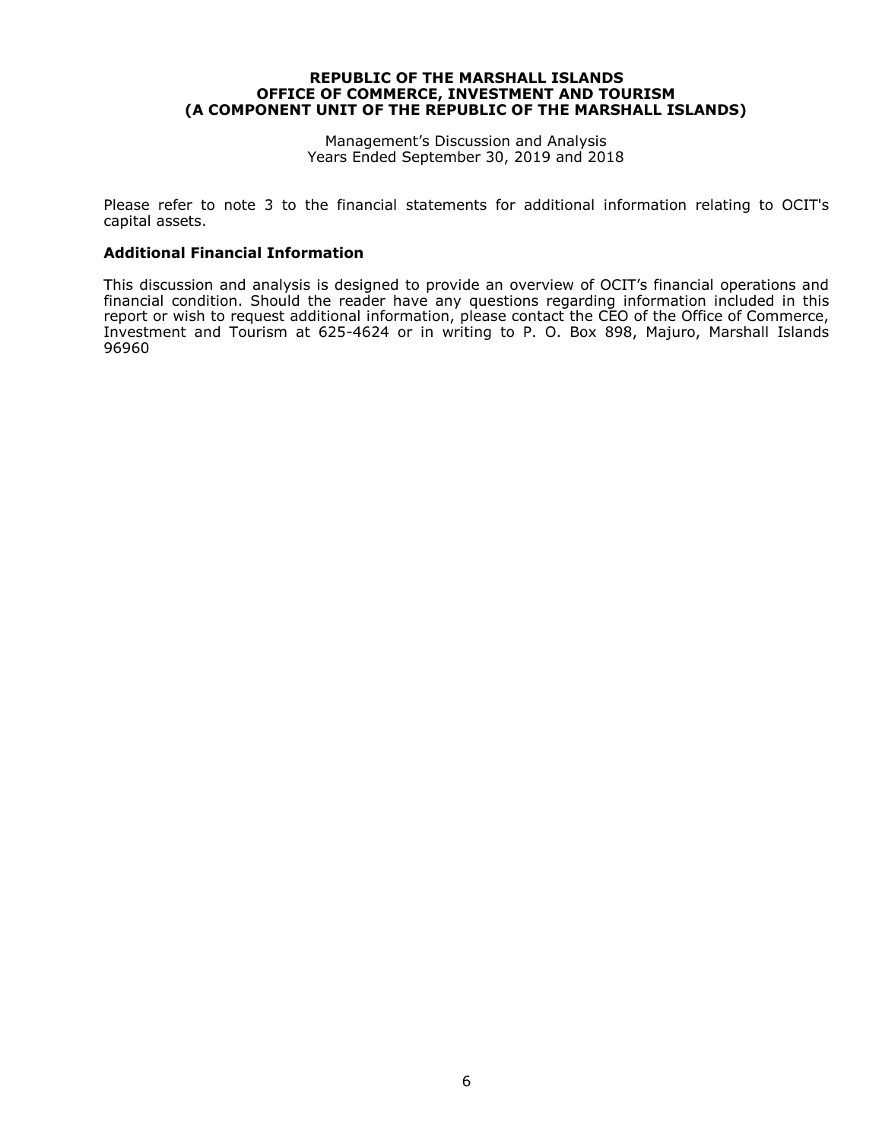Management's Discussion and Analysis Years Ended September 30, 2019 and 2018

Please refer to note 3 to the financial statements for additional information relating to OCIT's capital assets.

#### **Additional Financial Information**

This discussion and analysis is designed to provide an overview of OCIT's financial operations and financial condition. Should the reader have any questions regarding information included in this report or wish to request additional information, please contact the CEO of the Office of Commerce, Investment and Tourism at 625-4624 or in writing to P. O. Box 898, Majuro, Marshall Islands 96960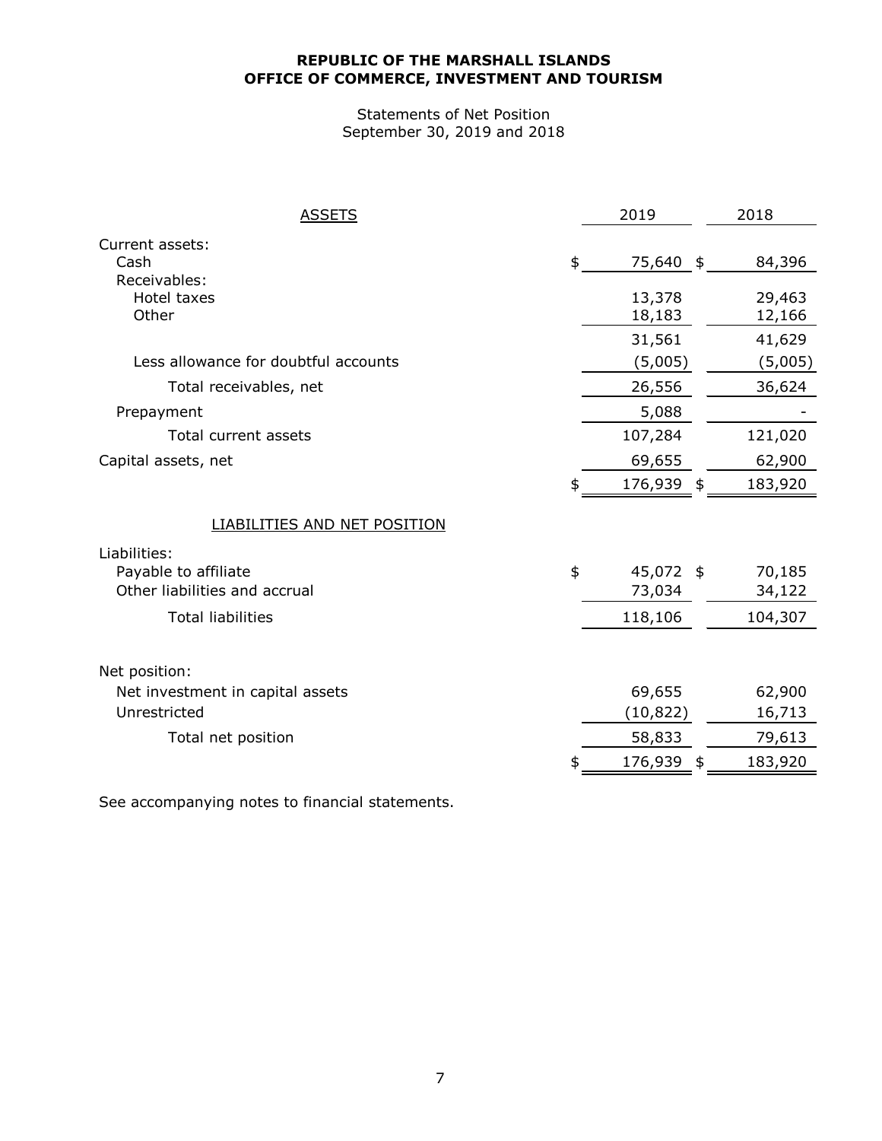Statements of Net Position September 30, 2019 and 2018

| <b>ASSETS</b>                        | 2019                | 2018             |
|--------------------------------------|---------------------|------------------|
| Current assets:<br>Cash              | \$<br>75,640 \$     | 84,396           |
| Receivables:<br>Hotel taxes<br>Other | 13,378<br>18,183    | 29,463<br>12,166 |
|                                      | 31,561              | 41,629           |
| Less allowance for doubtful accounts | (5,005)             | (5,005)          |
| Total receivables, net               | 26,556              | 36,624           |
| Prepayment                           | 5,088               |                  |
| Total current assets                 | 107,284             | 121,020          |
| Capital assets, net                  | 69,655              | 62,900           |
|                                      | \$<br>176,939 \$    | 183,920          |
| <b>LIABILITIES AND NET POSITION</b>  |                     |                  |
| Liabilities:                         |                     |                  |
| Payable to affiliate                 | \$<br>45,072 \$     | 70,185           |
| Other liabilities and accrual        | 73,034              | 34,122           |
| <b>Total liabilities</b>             | 118,106             | 104,307          |
| Net position:                        |                     |                  |
| Net investment in capital assets     | 69,655              | 62,900           |
| Unrestricted                         | (10,822)            | 16,713           |
| Total net position                   | 58,833              | 79,613           |
|                                      | \$<br>176,939<br>\$ | 183,920          |

See accompanying notes to financial statements.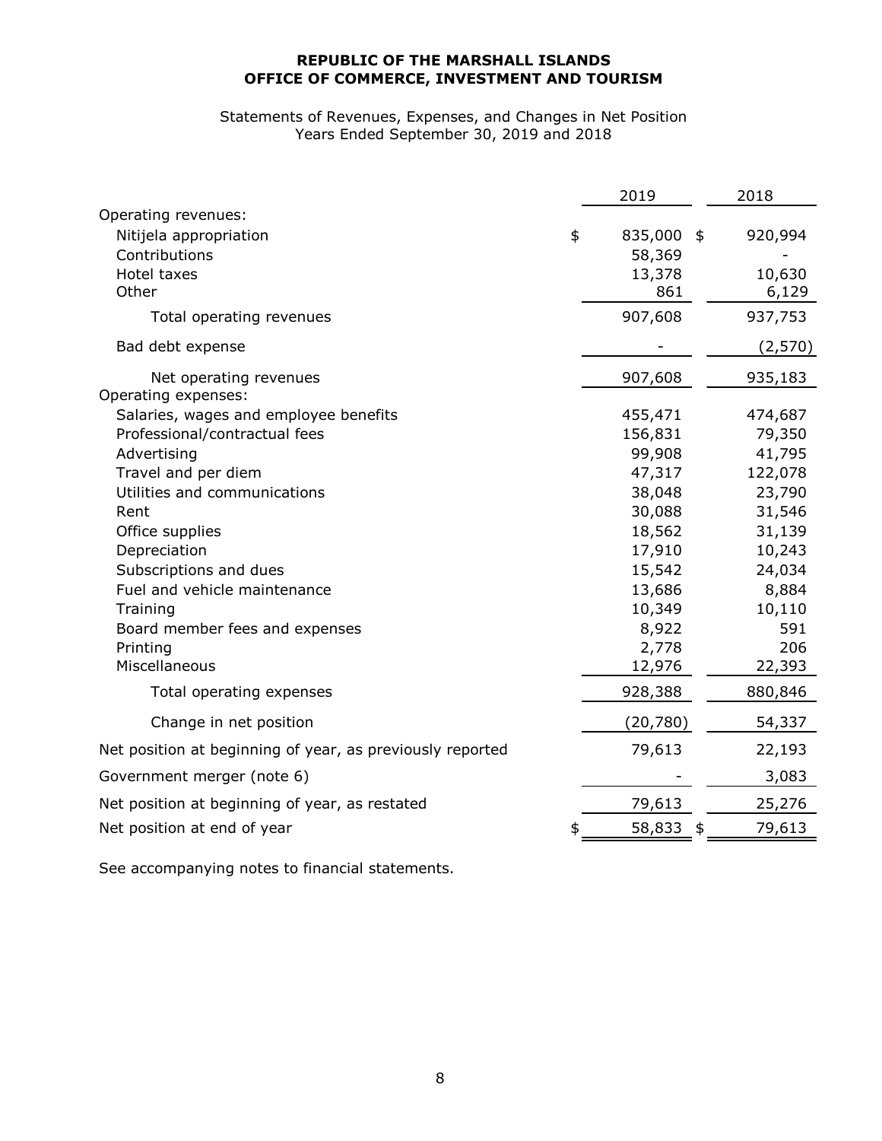#### Statements of Revenues, Expenses, and Changes in Net Position Years Ended September 30, 2019 and 2018

| Operating revenues:<br>835,000 \$<br>920,994<br>Nitijela appropriation<br>\$<br>Contributions<br>58,369<br>Hotel taxes<br>13,378<br>10,630<br>Other<br>861<br>6,129<br>907,608<br>937,753<br>Total operating revenues<br>Bad debt expense<br>(2,570)<br>907,608<br>Net operating revenues<br>935,183<br>Operating expenses:<br>Salaries, wages and employee benefits<br>455,471<br>474,687<br>Professional/contractual fees<br>156,831<br>79,350<br>99,908<br>41,795<br>Advertising<br>Travel and per diem<br>47,317<br>122,078<br>Utilities and communications<br>38,048<br>23,790<br>30,088<br>Rent<br>31,546<br>18,562<br>31,139<br>Office supplies<br>17,910<br>10,243<br>Depreciation<br>Subscriptions and dues<br>15,542<br>24,034<br>Fuel and vehicle maintenance<br>13,686<br>8,884<br>10,349<br>10,110<br>Training<br>8,922<br>591<br>Board member fees and expenses<br>2,778<br>206<br>Printing<br>Miscellaneous<br>12,976<br>22,393<br>928,388<br>880,846<br>Total operating expenses<br>Change in net position<br>(20, 780)<br>54,337<br>79,613<br>Net position at beginning of year, as previously reported<br>22,193<br>3,083<br>Government merger (note 6)<br>79,613<br>25,276<br>Net position at beginning of year, as restated<br>Net position at end of year<br>58,833<br>79,613 |  | 2019 | 2018 |
|----------------------------------------------------------------------------------------------------------------------------------------------------------------------------------------------------------------------------------------------------------------------------------------------------------------------------------------------------------------------------------------------------------------------------------------------------------------------------------------------------------------------------------------------------------------------------------------------------------------------------------------------------------------------------------------------------------------------------------------------------------------------------------------------------------------------------------------------------------------------------------------------------------------------------------------------------------------------------------------------------------------------------------------------------------------------------------------------------------------------------------------------------------------------------------------------------------------------------------------------------------------------------------------------------|--|------|------|
|                                                                                                                                                                                                                                                                                                                                                                                                                                                                                                                                                                                                                                                                                                                                                                                                                                                                                                                                                                                                                                                                                                                                                                                                                                                                                                    |  |      |      |
|                                                                                                                                                                                                                                                                                                                                                                                                                                                                                                                                                                                                                                                                                                                                                                                                                                                                                                                                                                                                                                                                                                                                                                                                                                                                                                    |  |      |      |
|                                                                                                                                                                                                                                                                                                                                                                                                                                                                                                                                                                                                                                                                                                                                                                                                                                                                                                                                                                                                                                                                                                                                                                                                                                                                                                    |  |      |      |
|                                                                                                                                                                                                                                                                                                                                                                                                                                                                                                                                                                                                                                                                                                                                                                                                                                                                                                                                                                                                                                                                                                                                                                                                                                                                                                    |  |      |      |
|                                                                                                                                                                                                                                                                                                                                                                                                                                                                                                                                                                                                                                                                                                                                                                                                                                                                                                                                                                                                                                                                                                                                                                                                                                                                                                    |  |      |      |
|                                                                                                                                                                                                                                                                                                                                                                                                                                                                                                                                                                                                                                                                                                                                                                                                                                                                                                                                                                                                                                                                                                                                                                                                                                                                                                    |  |      |      |
|                                                                                                                                                                                                                                                                                                                                                                                                                                                                                                                                                                                                                                                                                                                                                                                                                                                                                                                                                                                                                                                                                                                                                                                                                                                                                                    |  |      |      |
|                                                                                                                                                                                                                                                                                                                                                                                                                                                                                                                                                                                                                                                                                                                                                                                                                                                                                                                                                                                                                                                                                                                                                                                                                                                                                                    |  |      |      |
|                                                                                                                                                                                                                                                                                                                                                                                                                                                                                                                                                                                                                                                                                                                                                                                                                                                                                                                                                                                                                                                                                                                                                                                                                                                                                                    |  |      |      |
|                                                                                                                                                                                                                                                                                                                                                                                                                                                                                                                                                                                                                                                                                                                                                                                                                                                                                                                                                                                                                                                                                                                                                                                                                                                                                                    |  |      |      |
|                                                                                                                                                                                                                                                                                                                                                                                                                                                                                                                                                                                                                                                                                                                                                                                                                                                                                                                                                                                                                                                                                                                                                                                                                                                                                                    |  |      |      |
|                                                                                                                                                                                                                                                                                                                                                                                                                                                                                                                                                                                                                                                                                                                                                                                                                                                                                                                                                                                                                                                                                                                                                                                                                                                                                                    |  |      |      |
|                                                                                                                                                                                                                                                                                                                                                                                                                                                                                                                                                                                                                                                                                                                                                                                                                                                                                                                                                                                                                                                                                                                                                                                                                                                                                                    |  |      |      |
|                                                                                                                                                                                                                                                                                                                                                                                                                                                                                                                                                                                                                                                                                                                                                                                                                                                                                                                                                                                                                                                                                                                                                                                                                                                                                                    |  |      |      |
|                                                                                                                                                                                                                                                                                                                                                                                                                                                                                                                                                                                                                                                                                                                                                                                                                                                                                                                                                                                                                                                                                                                                                                                                                                                                                                    |  |      |      |
|                                                                                                                                                                                                                                                                                                                                                                                                                                                                                                                                                                                                                                                                                                                                                                                                                                                                                                                                                                                                                                                                                                                                                                                                                                                                                                    |  |      |      |
|                                                                                                                                                                                                                                                                                                                                                                                                                                                                                                                                                                                                                                                                                                                                                                                                                                                                                                                                                                                                                                                                                                                                                                                                                                                                                                    |  |      |      |
|                                                                                                                                                                                                                                                                                                                                                                                                                                                                                                                                                                                                                                                                                                                                                                                                                                                                                                                                                                                                                                                                                                                                                                                                                                                                                                    |  |      |      |
|                                                                                                                                                                                                                                                                                                                                                                                                                                                                                                                                                                                                                                                                                                                                                                                                                                                                                                                                                                                                                                                                                                                                                                                                                                                                                                    |  |      |      |
|                                                                                                                                                                                                                                                                                                                                                                                                                                                                                                                                                                                                                                                                                                                                                                                                                                                                                                                                                                                                                                                                                                                                                                                                                                                                                                    |  |      |      |
|                                                                                                                                                                                                                                                                                                                                                                                                                                                                                                                                                                                                                                                                                                                                                                                                                                                                                                                                                                                                                                                                                                                                                                                                                                                                                                    |  |      |      |
|                                                                                                                                                                                                                                                                                                                                                                                                                                                                                                                                                                                                                                                                                                                                                                                                                                                                                                                                                                                                                                                                                                                                                                                                                                                                                                    |  |      |      |
|                                                                                                                                                                                                                                                                                                                                                                                                                                                                                                                                                                                                                                                                                                                                                                                                                                                                                                                                                                                                                                                                                                                                                                                                                                                                                                    |  |      |      |
|                                                                                                                                                                                                                                                                                                                                                                                                                                                                                                                                                                                                                                                                                                                                                                                                                                                                                                                                                                                                                                                                                                                                                                                                                                                                                                    |  |      |      |
|                                                                                                                                                                                                                                                                                                                                                                                                                                                                                                                                                                                                                                                                                                                                                                                                                                                                                                                                                                                                                                                                                                                                                                                                                                                                                                    |  |      |      |
|                                                                                                                                                                                                                                                                                                                                                                                                                                                                                                                                                                                                                                                                                                                                                                                                                                                                                                                                                                                                                                                                                                                                                                                                                                                                                                    |  |      |      |
|                                                                                                                                                                                                                                                                                                                                                                                                                                                                                                                                                                                                                                                                                                                                                                                                                                                                                                                                                                                                                                                                                                                                                                                                                                                                                                    |  |      |      |
|                                                                                                                                                                                                                                                                                                                                                                                                                                                                                                                                                                                                                                                                                                                                                                                                                                                                                                                                                                                                                                                                                                                                                                                                                                                                                                    |  |      |      |

See accompanying notes to financial statements.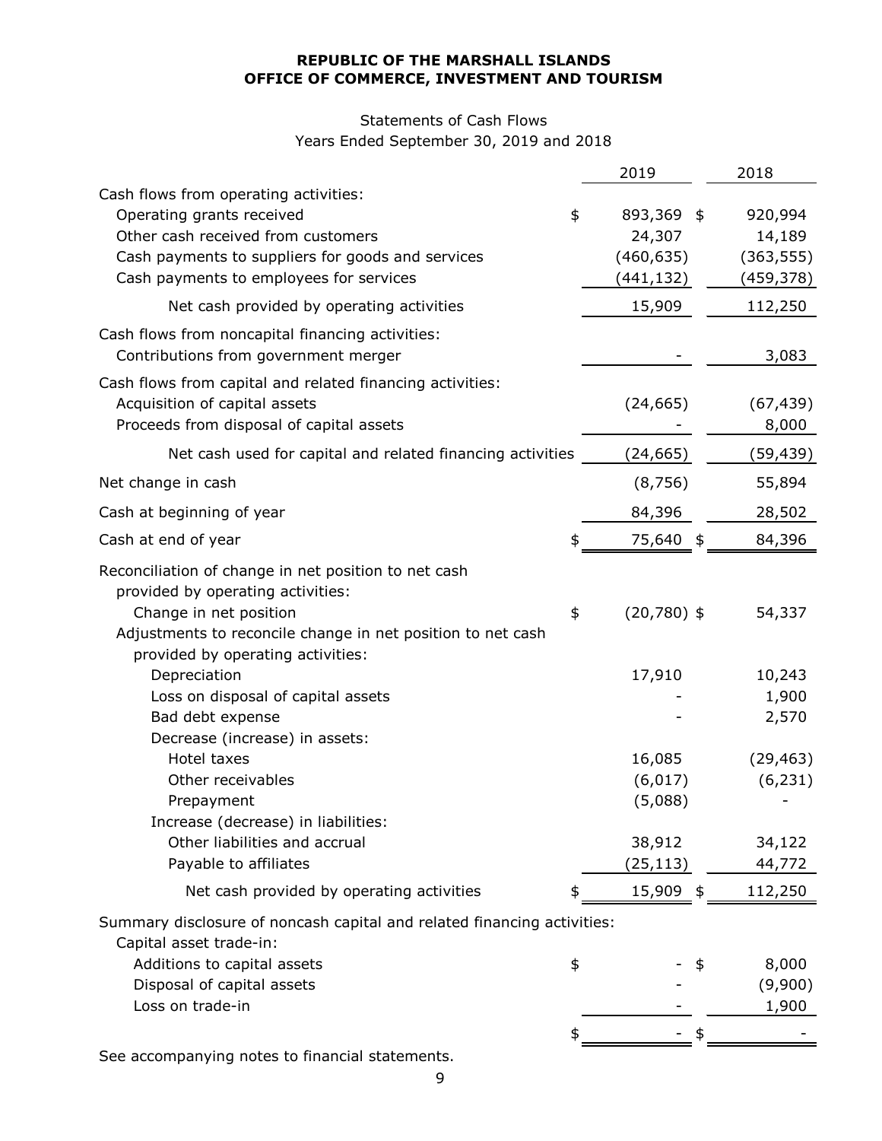# Statements of Cash Flows

Years Ended September 30, 2019 and 2018

|                                                                                                                                                                                                                                                                               | 2019                                                   | 2018                                          |
|-------------------------------------------------------------------------------------------------------------------------------------------------------------------------------------------------------------------------------------------------------------------------------|--------------------------------------------------------|-----------------------------------------------|
| Cash flows from operating activities:<br>Operating grants received<br>Other cash received from customers<br>Cash payments to suppliers for goods and services<br>Cash payments to employees for services                                                                      | \$<br>893,369 \$<br>24,307<br>(460, 635)<br>(441, 132) | 920,994<br>14,189<br>(363, 555)<br>(459, 378) |
| Net cash provided by operating activities                                                                                                                                                                                                                                     | 15,909                                                 | 112,250                                       |
| Cash flows from noncapital financing activities:<br>Contributions from government merger                                                                                                                                                                                      |                                                        | 3,083                                         |
| Cash flows from capital and related financing activities:<br>Acquisition of capital assets<br>Proceeds from disposal of capital assets                                                                                                                                        | (24, 665)                                              | (67, 439)<br>8,000                            |
| Net cash used for capital and related financing activities                                                                                                                                                                                                                    | (24, 665)                                              | (59,439)                                      |
| Net change in cash                                                                                                                                                                                                                                                            | (8, 756)                                               | 55,894                                        |
| Cash at beginning of year                                                                                                                                                                                                                                                     | 84,396                                                 | 28,502                                        |
| Cash at end of year                                                                                                                                                                                                                                                           | 75,640 \$                                              | 84,396                                        |
| Reconciliation of change in net position to net cash<br>provided by operating activities:<br>Change in net position<br>Adjustments to reconcile change in net position to net cash<br>provided by operating activities:<br>Depreciation<br>Loss on disposal of capital assets | \$<br>$(20,780)$ \$<br>17,910                          | 54,337<br>10,243<br>1,900                     |
| Bad debt expense                                                                                                                                                                                                                                                              |                                                        | 2,570                                         |
| Decrease (increase) in assets:<br>Hotel taxes<br>Other receivables<br>Prepayment<br>Increase (decrease) in liabilities:<br>Other liabilities and accrual<br>Payable to affiliates                                                                                             | 16,085<br>(6,017)<br>(5,088)<br>38,912<br>(25, 113)    | (29, 463)<br>(6, 231)<br>34,122<br>44,772     |
| Net cash provided by operating activities                                                                                                                                                                                                                                     | 15,909 \$                                              | 112,250                                       |
| Summary disclosure of noncash capital and related financing activities:<br>Capital asset trade-in:<br>Additions to capital assets<br>Disposal of capital assets<br>Loss on trade-in                                                                                           | \$                                                     | 8,000<br>(9,900)<br>1,900                     |
| anving notos to financial statem                                                                                                                                                                                                                                              |                                                        |                                               |

See accompanying notes to financial statements.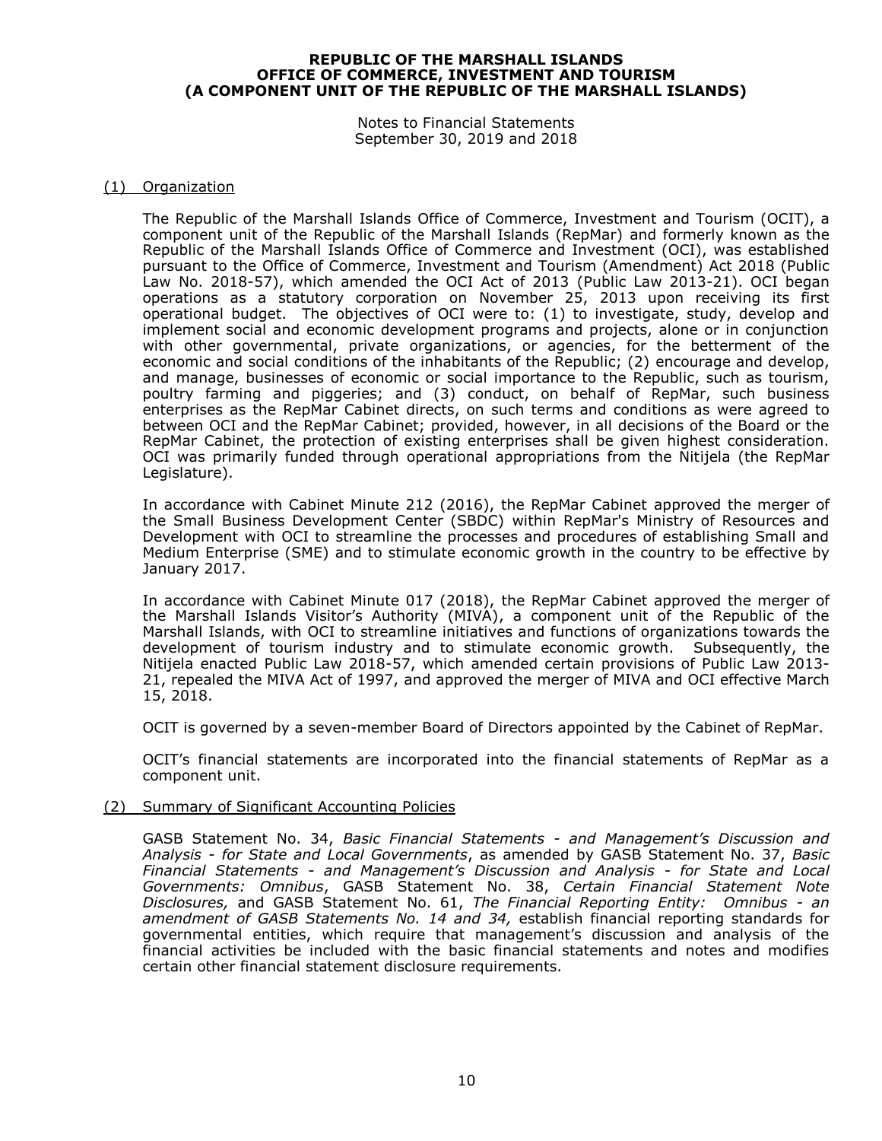Notes to Financial Statements September 30, 2019 and 2018

#### (1) Organization

The Republic of the Marshall Islands Office of Commerce, Investment and Tourism (OCIT), a component unit of the Republic of the Marshall Islands (RepMar) and formerly known as the Republic of the Marshall Islands Office of Commerce and Investment (OCI), was established pursuant to the Office of Commerce, Investment and Tourism (Amendment) Act 2018 (Public Law No. 2018-57), which amended the OCI Act of 2013 (Public Law 2013-21). OCI began operations as a statutory corporation on November 25, 2013 upon receiving its first operational budget. The objectives of OCI were to: (1) to investigate, study, develop and implement social and economic development programs and projects, alone or in conjunction with other governmental, private organizations, or agencies, for the betterment of the economic and social conditions of the inhabitants of the Republic; (2) encourage and develop, and manage, businesses of economic or social importance to the Republic, such as tourism, poultry farming and piggeries; and (3) conduct, on behalf of RepMar, such business enterprises as the RepMar Cabinet directs, on such terms and conditions as were agreed to between OCI and the RepMar Cabinet; provided, however, in all decisions of the Board or the RepMar Cabinet, the protection of existing enterprises shall be given highest consideration. OCI was primarily funded through operational appropriations from the Nitijela (the RepMar Legislature).

In accordance with Cabinet Minute 212 (2016), the RepMar Cabinet approved the merger of the Small Business Development Center (SBDC) within RepMar's Ministry of Resources and Development with OCI to streamline the processes and procedures of establishing Small and Medium Enterprise (SME) and to stimulate economic growth in the country to be effective by January 2017.

In accordance with Cabinet Minute 017 (2018), the RepMar Cabinet approved the merger of the Marshall Islands Visitor's Authority (MIVA), a component unit of the Republic of the Marshall Islands, with OCI to streamline initiatives and functions of organizations towards the development of tourism industry and to stimulate economic growth. Subsequently, the Nitijela enacted Public Law 2018-57, which amended certain provisions of Public Law 2013- 21, repealed the MIVA Act of 1997, and approved the merger of MIVA and OCI effective March 15, 2018.

OCIT is governed by a seven-member Board of Directors appointed by the Cabinet of RepMar.

OCIT's financial statements are incorporated into the financial statements of RepMar as a component unit.

#### (2) Summary of Significant Accounting Policies

GASB Statement No. 34, *Basic Financial Statements - and Management's Discussion and Analysis - for State and Local Governments*, as amended by GASB Statement No. 37, *Basic Financial Statements - and Management's Discussion and Analysis - for State and Local Governments: Omnibus*, GASB Statement No. 38, *Certain Financial Statement Note Disclosures,* and GASB Statement No. 61, *The Financial Reporting Entity: Omnibus - an amendment of GASB Statements No. 14 and 34,* establish financial reporting standards for governmental entities, which require that management's discussion and analysis of the financial activities be included with the basic financial statements and notes and modifies certain other financial statement disclosure requirements.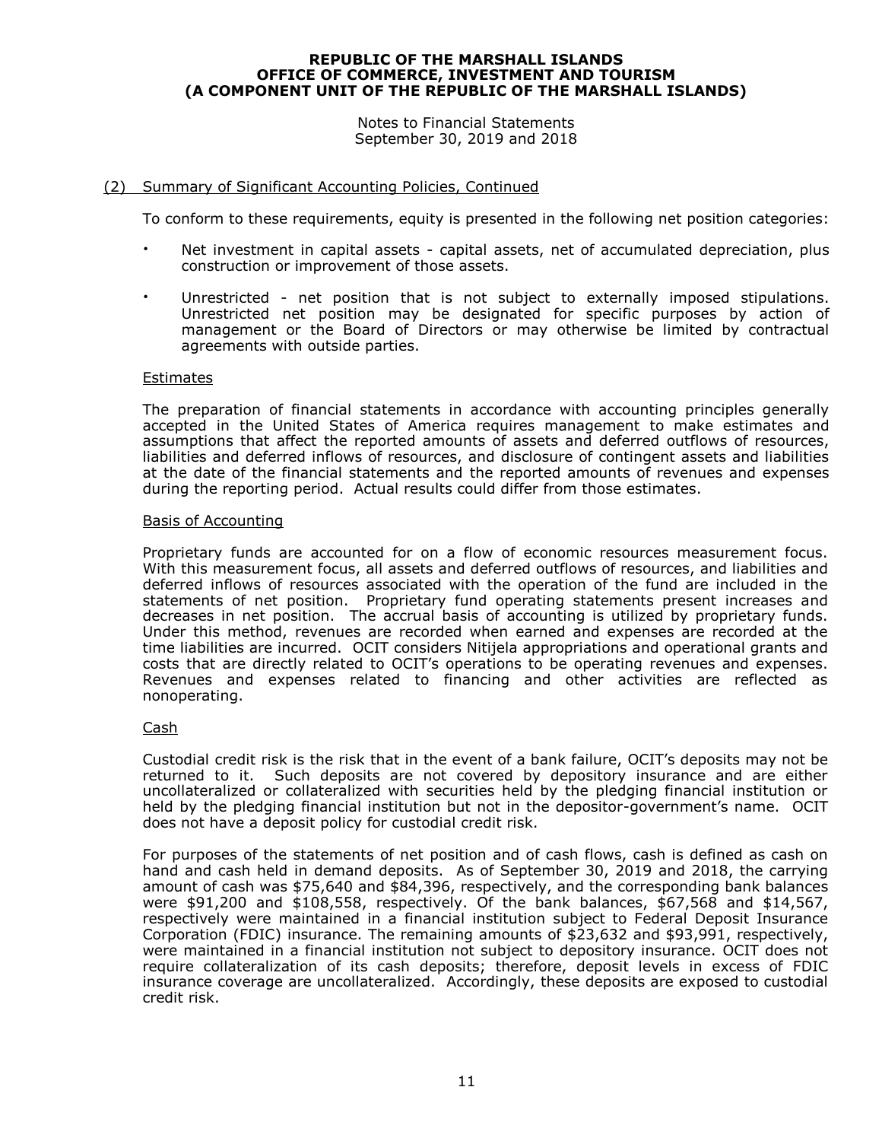Notes to Financial Statements September 30, 2019 and 2018

#### (2) Summary of Significant Accounting Policies, Continued

To conform to these requirements, equity is presented in the following net position categories:

- Net investment in capital assets capital assets, net of accumulated depreciation, plus construction or improvement of those assets.
- Unrestricted net position that is not subject to externally imposed stipulations. Unrestricted net position may be designated for specific purposes by action of management or the Board of Directors or may otherwise be limited by contractual agreements with outside parties.

#### Estimates

The preparation of financial statements in accordance with accounting principles generally accepted in the United States of America requires management to make estimates and assumptions that affect the reported amounts of assets and deferred outflows of resources, liabilities and deferred inflows of resources, and disclosure of contingent assets and liabilities at the date of the financial statements and the reported amounts of revenues and expenses during the reporting period. Actual results could differ from those estimates.

#### Basis of Accounting

Proprietary funds are accounted for on a flow of economic resources measurement focus. With this measurement focus, all assets and deferred outflows of resources, and liabilities and deferred inflows of resources associated with the operation of the fund are included in the statements of net position. Proprietary fund operating statements present increases and decreases in net position. The accrual basis of accounting is utilized by proprietary funds. Under this method, revenues are recorded when earned and expenses are recorded at the time liabilities are incurred. OCIT considers Nitijela appropriations and operational grants and costs that are directly related to OCIT's operations to be operating revenues and expenses. Revenues and expenses related to financing and other activities are reflected as nonoperating.

#### Cash

Custodial credit risk is the risk that in the event of a bank failure, OCIT's deposits may not be returned to it. Such deposits are not covered by depository insurance and are either uncollateralized or collateralized with securities held by the pledging financial institution or held by the pledging financial institution but not in the depositor-government's name. OCIT does not have a deposit policy for custodial credit risk.

For purposes of the statements of net position and of cash flows, cash is defined as cash on hand and cash held in demand deposits. As of September 30, 2019 and 2018, the carrying amount of cash was \$75,640 and \$84,396, respectively, and the corresponding bank balances were \$91,200 and \$108,558, respectively. Of the bank balances, \$67,568 and \$14,567, respectively were maintained in a financial institution subject to Federal Deposit Insurance Corporation (FDIC) insurance. The remaining amounts of \$23,632 and \$93,991, respectively, were maintained in a financial institution not subject to depository insurance. OCIT does not require collateralization of its cash deposits; therefore, deposit levels in excess of FDIC insurance coverage are uncollateralized. Accordingly, these deposits are exposed to custodial credit risk.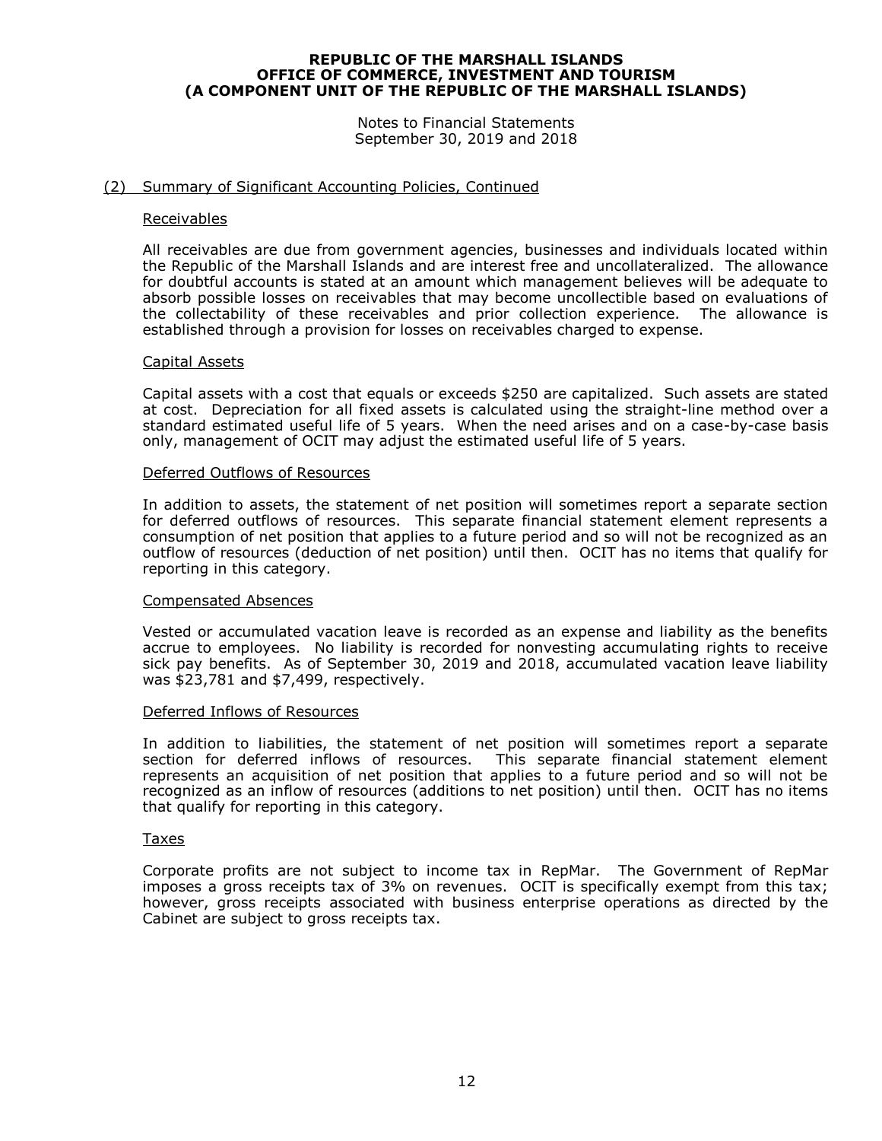Notes to Financial Statements September 30, 2019 and 2018

#### (2) Summary of Significant Accounting Policies, Continued

#### Receivables

All receivables are due from government agencies, businesses and individuals located within the Republic of the Marshall Islands and are interest free and uncollateralized. The allowance for doubtful accounts is stated at an amount which management believes will be adequate to absorb possible losses on receivables that may become uncollectible based on evaluations of the collectability of these receivables and prior collection experience. The allowance is established through a provision for losses on receivables charged to expense.

#### Capital Assets

Capital assets with a cost that equals or exceeds \$250 are capitalized. Such assets are stated at cost. Depreciation for all fixed assets is calculated using the straight-line method over a standard estimated useful life of 5 years. When the need arises and on a case-by-case basis only, management of OCIT may adjust the estimated useful life of 5 years.

#### Deferred Outflows of Resources

In addition to assets, the statement of net position will sometimes report a separate section for deferred outflows of resources. This separate financial statement element represents a consumption of net position that applies to a future period and so will not be recognized as an outflow of resources (deduction of net position) until then. OCIT has no items that qualify for reporting in this category.

#### Compensated Absences

Vested or accumulated vacation leave is recorded as an expense and liability as the benefits accrue to employees. No liability is recorded for nonvesting accumulating rights to receive sick pay benefits. As of September 30, 2019 and 2018, accumulated vacation leave liability was \$23,781 and \$7,499, respectively.

#### Deferred Inflows of Resources

In addition to liabilities, the statement of net position will sometimes report a separate section for deferred inflows of resources. This separate financial statement element represents an acquisition of net position that applies to a future period and so will not be recognized as an inflow of resources (additions to net position) until then. OCIT has no items that qualify for reporting in this category.

#### Taxes

Corporate profits are not subject to income tax in RepMar. The Government of RepMar imposes a gross receipts tax of 3% on revenues. OCIT is specifically exempt from this tax; however, gross receipts associated with business enterprise operations as directed by the Cabinet are subject to gross receipts tax.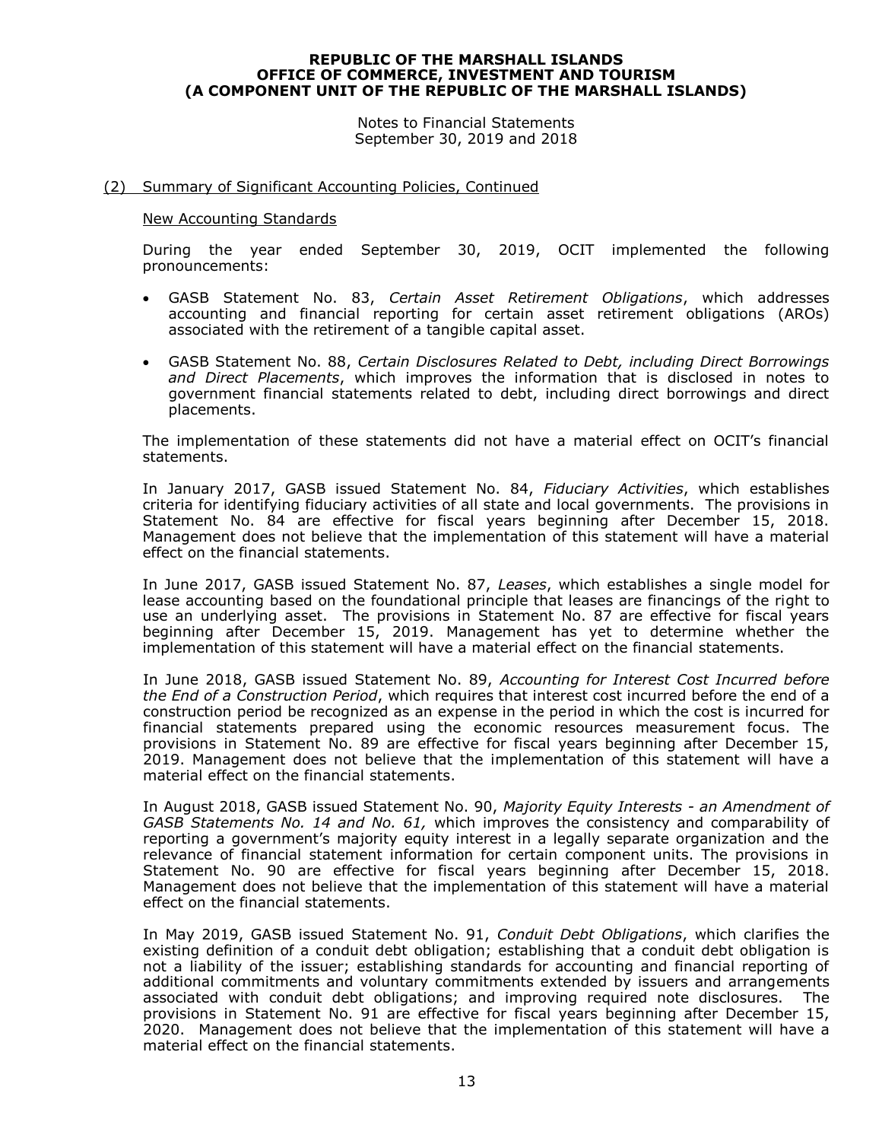Notes to Financial Statements September 30, 2019 and 2018

#### (2) Summary of Significant Accounting Policies, Continued

#### New Accounting Standards

During the year ended September 30, 2019, OCIT implemented the following pronouncements:

- GASB Statement No. 83, *Certain Asset Retirement Obligations*, which addresses accounting and financial reporting for certain asset retirement obligations (AROs) associated with the retirement of a tangible capital asset.
- GASB Statement No. 88, *Certain Disclosures Related to Debt, including Direct Borrowings and Direct Placements*, which improves the information that is disclosed in notes to government financial statements related to debt, including direct borrowings and direct placements.

The implementation of these statements did not have a material effect on OCIT's financial statements.

In January 2017, GASB issued Statement No. 84, *Fiduciary Activities*, which establishes criteria for identifying fiduciary activities of all state and local governments. The provisions in Statement No. 84 are effective for fiscal years beginning after December 15, 2018. Management does not believe that the implementation of this statement will have a material effect on the financial statements.

In June 2017, GASB issued Statement No. 87, *Leases*, which establishes a single model for lease accounting based on the foundational principle that leases are financings of the right to use an underlying asset. The provisions in Statement No. 87 are effective for fiscal years beginning after December 15, 2019. Management has yet to determine whether the implementation of this statement will have a material effect on the financial statements.

In June 2018, GASB issued Statement No. 89, *Accounting for Interest Cost Incurred before the End of a Construction Period*, which requires that interest cost incurred before the end of a construction period be recognized as an expense in the period in which the cost is incurred for financial statements prepared using the economic resources measurement focus. The provisions in Statement No. 89 are effective for fiscal years beginning after December 15, 2019. Management does not believe that the implementation of this statement will have a material effect on the financial statements.

In August 2018, GASB issued Statement No. 90, *Majority Equity Interests - an Amendment of GASB Statements No. 14 and No. 61,* which improves the consistency and comparability of reporting a government's majority equity interest in a legally separate organization and the relevance of financial statement information for certain component units. The provisions in Statement No. 90 are effective for fiscal years beginning after December 15, 2018. Management does not believe that the implementation of this statement will have a material effect on the financial statements.

In May 2019, GASB issued Statement No. 91, *Conduit Debt Obligations*, which clarifies the existing definition of a conduit debt obligation; establishing that a conduit debt obligation is not a liability of the issuer; establishing standards for accounting and financial reporting of additional commitments and voluntary commitments extended by issuers and arrangements associated with conduit debt obligations; and improving required note disclosures. The provisions in Statement No. 91 are effective for fiscal years beginning after December 15, 2020. Management does not believe that the implementation of this statement will have a material effect on the financial statements.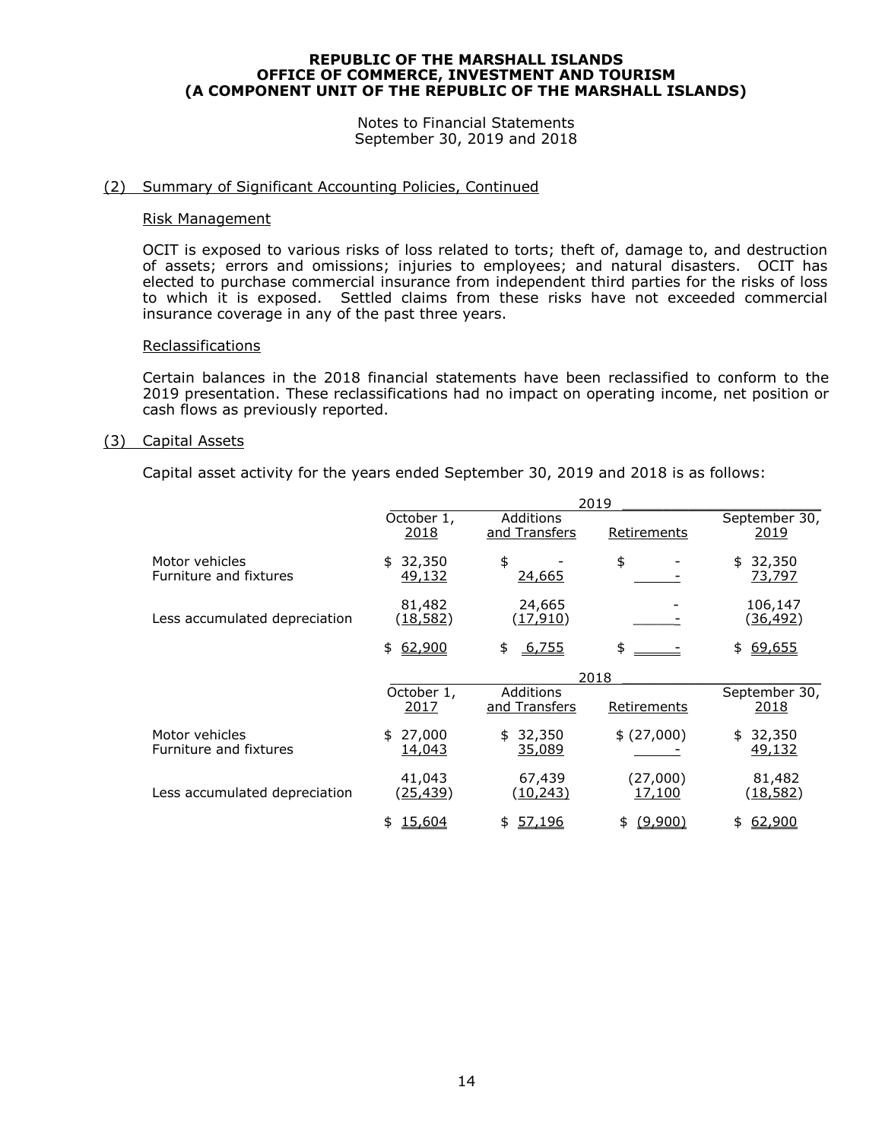Notes to Financial Statements September 30, 2019 and 2018

#### (2) Summary of Significant Accounting Policies, Continued

#### Risk Management

OCIT is exposed to various risks of loss related to torts; theft of, damage to, and destruction of assets; errors and omissions; injuries to employees; and natural disasters. OCIT has elected to purchase commercial insurance from independent third parties for the risks of loss to which it is exposed. Settled claims from these risks have not exceeded commercial insurance coverage in any of the past three years.

#### Reclassifications

Certain balances in the 2018 financial statements have been reclassified to conform to the 2019 presentation. These reclassifications had no impact on operating income, net position or cash flows as previously reported.

#### (3) Capital Assets

Capital asset activity for the years ended September 30, 2019 and 2018 is as follows:

|                                          | 2019                          |                            |                    |                               |
|------------------------------------------|-------------------------------|----------------------------|--------------------|-------------------------------|
|                                          | October 1,<br><u> 2018</u>    | Additions<br>and Transfers | Retirements        | September 30,<br><u> 2019</u> |
| Motor vehicles<br>Furniture and fixtures | 32,350<br>\$<br>49,132        | \$<br><u>24,665</u>        | \$                 | 32,350<br>\$<br><u>73,797</u> |
| Less accumulated depreciation            | 81,482<br>(18, 582)           | 24,665<br>(17, 910)        |                    | 106,147<br>(36, 492)          |
|                                          | 62,900<br>\$                  | 6,755<br>\$                | \$                 | 69,655<br>\$                  |
|                                          |                               |                            | 2018               |                               |
|                                          | October 1,<br>2017            | Additions<br>and Transfers | Retirements        | September 30,<br><u> 2018</u> |
| Motor vehicles<br>Furniture and fixtures | 27,000<br>\$<br><u>14,043</u> | 32,350<br>\$<br>35,089     | \$ (27,000)        | 32,350<br>\$<br>49,132        |
| Less accumulated depreciation            | 41,043<br>(25,439)            | 67,439<br><u>(10,243)</u>  | (27,000)<br>17,100 | 81,482<br>(18, 582)           |
|                                          | <u>15,604</u>                 | <u>57,196</u><br>\$        | (9,900)            | 62,900                        |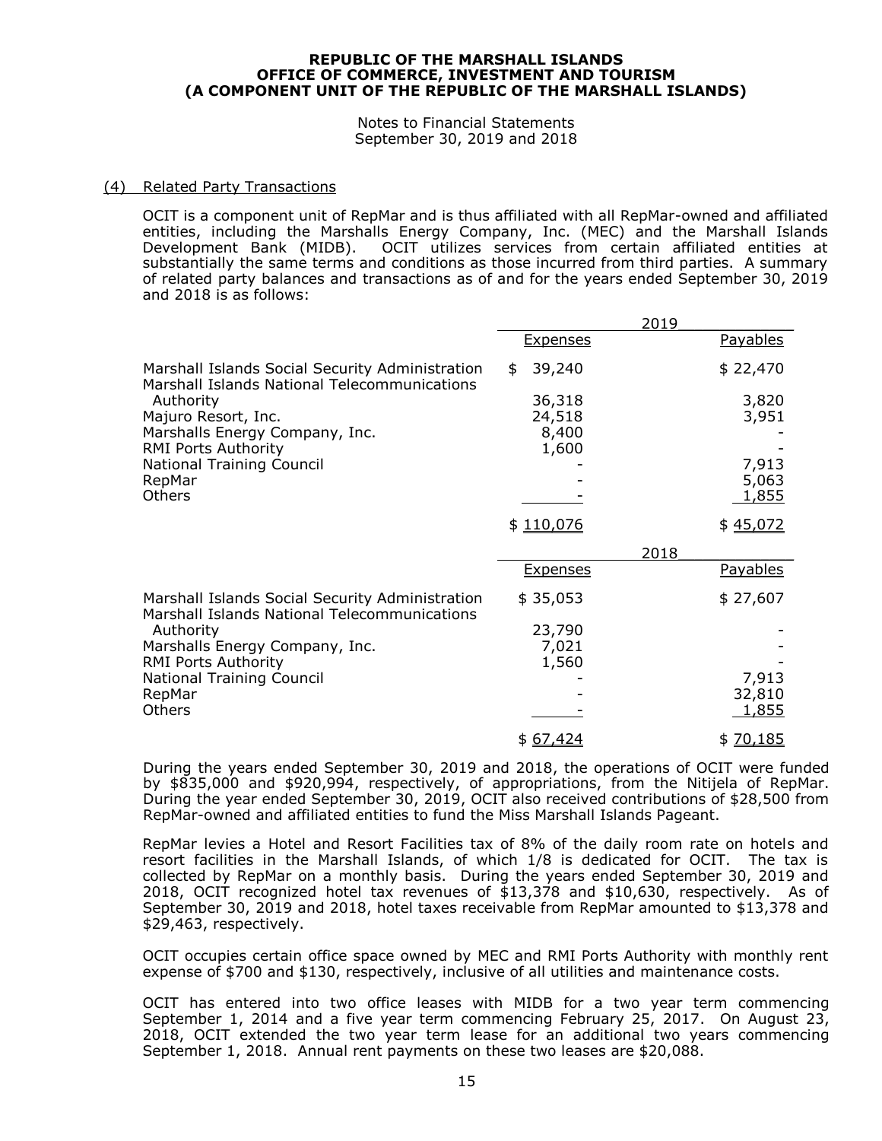Notes to Financial Statements September 30, 2019 and 2018

#### (4) Related Party Transactions

OCIT is a component unit of RepMar and is thus affiliated with all RepMar-owned and affiliated entities, including the Marshalls Energy Company, Inc. (MEC) and the Marshall Islands Development Bank (MIDB). OCIT utilizes services from certain affiliated entities at substantially the same terms and conditions as those incurred from third parties. A summary of related party balances and transactions as of and for the years ended September 30, 2019 and 2018 is as follows:

|                                                                                                 |                  | 2019 |              |
|-------------------------------------------------------------------------------------------------|------------------|------|--------------|
|                                                                                                 | <u>Expenses</u>  |      | Payables     |
| Marshall Islands Social Security Administration<br>Marshall Islands National Telecommunications | 39,240<br>\$     |      | \$22,470     |
| Authority                                                                                       | 36,318           |      | 3,820        |
| Majuro Resort, Inc.<br>Marshalls Energy Company, Inc.                                           | 24,518<br>8,400  |      | 3,951        |
| <b>RMI Ports Authority</b>                                                                      | 1,600            |      |              |
| National Training Council                                                                       |                  |      | 7,913        |
| RepMar                                                                                          |                  |      | 5,063        |
| Others                                                                                          |                  |      | <u>1,855</u> |
|                                                                                                 | \$110,076        |      | \$45,072     |
|                                                                                                 |                  | 2018 |              |
|                                                                                                 | <b>Expenses</b>  |      | Payables     |
| Marshall Islands Social Security Administration<br>Marshall Islands National Telecommunications | \$35,053         |      | \$27,607     |
| Authority                                                                                       | 23,790           |      |              |
| Marshalls Energy Company, Inc.                                                                  | 7,021            |      |              |
| <b>RMI Ports Authority</b><br><b>National Training Council</b>                                  | 1,560            |      | 7,913        |
| RepMar                                                                                          |                  |      | 32,810       |
| Others                                                                                          |                  |      | 1,855        |
|                                                                                                 | <u>\$ 67,424</u> |      | \$70,185     |

During the years ended September 30, 2019 and 2018, the operations of OCIT were funded by \$835,000 and \$920,994, respectively, of appropriations, from the Nitijela of RepMar. During the year ended September 30, 2019, OCIT also received contributions of \$28,500 from RepMar-owned and affiliated entities to fund the Miss Marshall Islands Pageant.

RepMar levies a Hotel and Resort Facilities tax of 8% of the daily room rate on hotels and resort facilities in the Marshall Islands, of which 1/8 is dedicated for OCIT. The tax is collected by RepMar on a monthly basis. During the years ended September 30, 2019 and 2018, OCIT recognized hotel tax revenues of \$13,378 and \$10,630, respectively. As of September 30, 2019 and 2018, hotel taxes receivable from RepMar amounted to \$13,378 and \$29,463, respectively.

OCIT occupies certain office space owned by MEC and RMI Ports Authority with monthly rent expense of \$700 and \$130, respectively, inclusive of all utilities and maintenance costs.

OCIT has entered into two office leases with MIDB for a two year term commencing September 1, 2014 and a five year term commencing February 25, 2017. On August 23, 2018, OCIT extended the two year term lease for an additional two years commencing September 1, 2018. Annual rent payments on these two leases are \$20,088.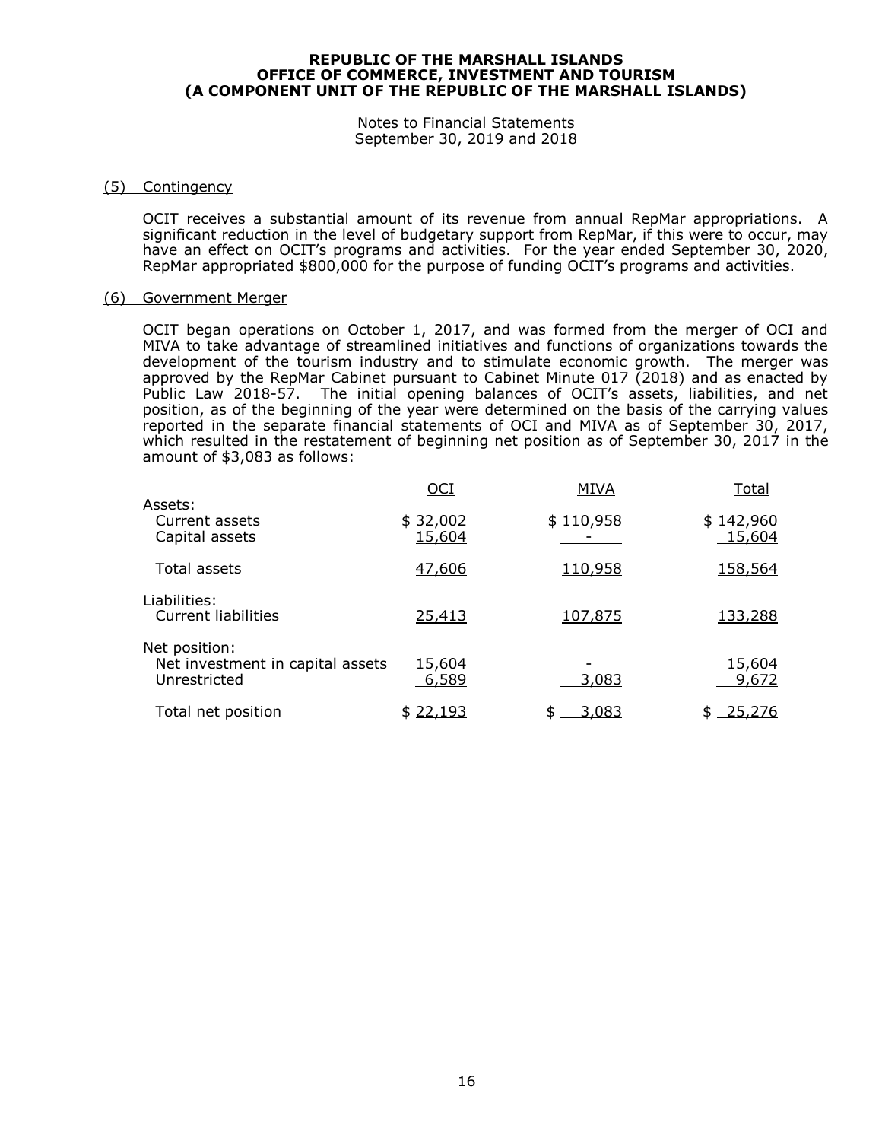Notes to Financial Statements September 30, 2019 and 2018

#### (5) Contingency

OCIT receives a substantial amount of its revenue from annual RepMar appropriations. A significant reduction in the level of budgetary support from RepMar, if this were to occur, may have an effect on OCIT's programs and activities. For the year ended September 30, 2020, RepMar appropriated \$800,000 for the purpose of funding OCIT's programs and activities.

#### (6) Government Merger

OCIT began operations on October 1, 2017, and was formed from the merger of OCI and MIVA to take advantage of streamlined initiatives and functions of organizations towards the development of the tourism industry and to stimulate economic growth. The merger was approved by the RepMar Cabinet pursuant to Cabinet Minute 017 (2018) and as enacted by Public Law 2018-57. The initial opening balances of OCIT's assets, liabilities, and net position, as of the beginning of the year were determined on the basis of the carrying values reported in the separate financial statements of OCI and MIVA as of September 30, 2017, which resulted in the restatement of beginning net position as of September 30, 2017 in the amount of \$3,083 as follows:

|                                                                   | $OCI$              | <b>MIVA</b>        | Total               |
|-------------------------------------------------------------------|--------------------|--------------------|---------------------|
| Assets:<br>Current assets<br>Capital assets                       | \$32,002<br>15,604 | \$110,958          | \$142,960<br>15,604 |
| Total assets                                                      | 47,606             | 110,958            | <u>158,564</u>      |
| Liabilities:<br><b>Current liabilities</b>                        | 25,413             | 107,875            | 133,288             |
| Net position:<br>Net investment in capital assets<br>Unrestricted | 15,604<br>6,589    | 3,083              | 15,604<br>9,672     |
| Total net position                                                | \$22,193           | <u>3,083</u><br>\$ | 25,276<br>\$        |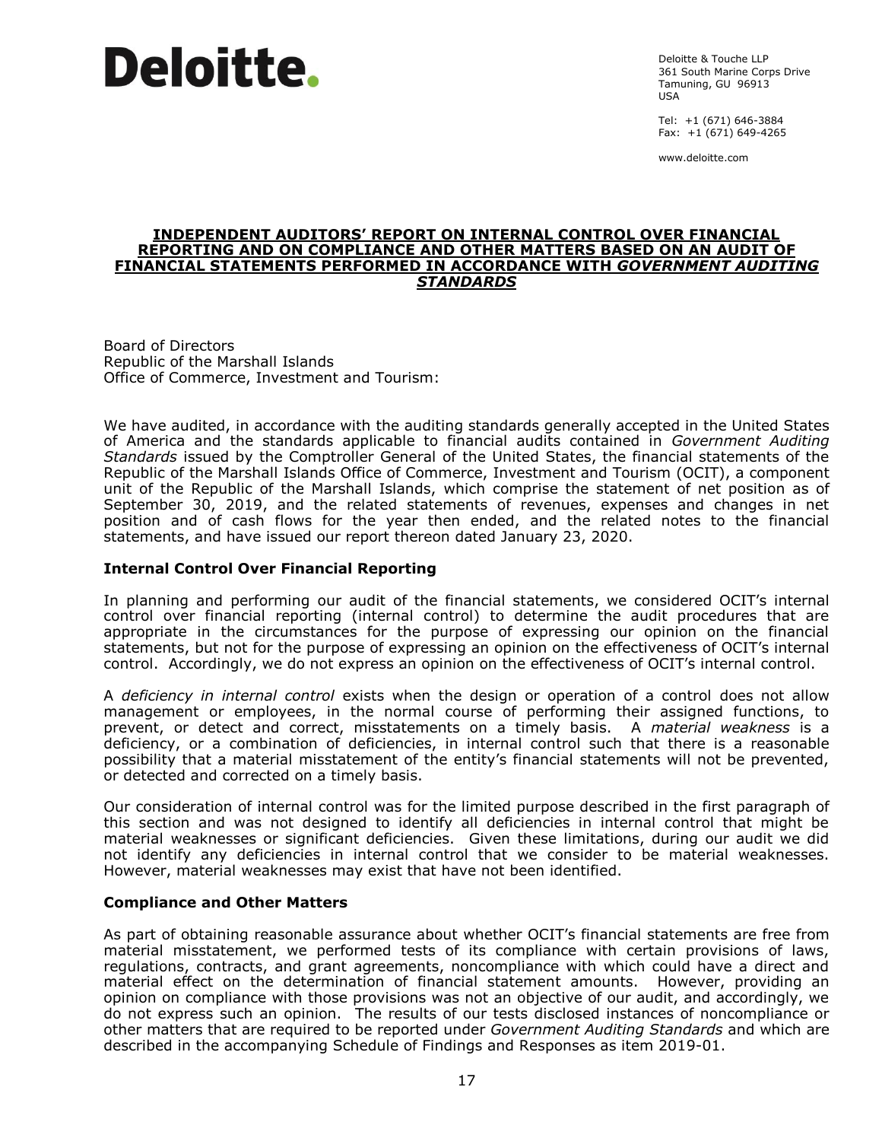# **Deloitte.**

Deloitte & Touche LLP 361 South Marine Corps Drive Tamuning, GU 96913 USA

Tel: +1 (671) 646-3884 Fax: +1 (671) 649-4265

www.deloitte.com

#### **INDEPENDENT AUDITORS' REPORT ON INTERNAL CONTROL OVER FINANCIAL REPORTING AND ON COMPLIANCE AND OTHER MATTERS BASED ON AN AUDIT OF FINANCIAL STATEMENTS PERFORMED IN ACCORDANCE WITH** *GOVERNMENT AUDITING STANDARDS*

Board of Directors Republic of the Marshall Islands Office of Commerce, Investment and Tourism:

We have audited, in accordance with the auditing standards generally accepted in the United States of America and the standards applicable to financial audits contained in *Government Auditing Standards* issued by the Comptroller General of the United States, the financial statements of the Republic of the Marshall Islands Office of Commerce, Investment and Tourism (OCIT), a component unit of the Republic of the Marshall Islands, which comprise the statement of net position as of September 30, 2019, and the related statements of revenues, expenses and changes in net position and of cash flows for the year then ended, and the related notes to the financial statements, and have issued our report thereon dated January 23, 2020.

### **Internal Control Over Financial Reporting**

In planning and performing our audit of the financial statements, we considered OCIT's internal control over financial reporting (internal control) to determine the audit procedures that are appropriate in the circumstances for the purpose of expressing our opinion on the financial statements, but not for the purpose of expressing an opinion on the effectiveness of OCIT's internal control. Accordingly, we do not express an opinion on the effectiveness of OCIT's internal control.

A *deficiency in internal control* exists when the design or operation of a control does not allow management or employees, in the normal course of performing their assigned functions, to prevent, or detect and correct, misstatements on a timely basis. A *material weakness* is a deficiency, or a combination of deficiencies, in internal control such that there is a reasonable possibility that a material misstatement of the entity's financial statements will not be prevented, or detected and corrected on a timely basis.

Our consideration of internal control was for the limited purpose described in the first paragraph of this section and was not designed to identify all deficiencies in internal control that might be material weaknesses or significant deficiencies. Given these limitations, during our audit we did not identify any deficiencies in internal control that we consider to be material weaknesses. However, material weaknesses may exist that have not been identified.

#### **Compliance and Other Matters**

As part of obtaining reasonable assurance about whether OCIT's financial statements are free from material misstatement, we performed tests of its compliance with certain provisions of laws, regulations, contracts, and grant agreements, noncompliance with which could have a direct and material effect on the determination of financial statement amounts. However, providing an opinion on compliance with those provisions was not an objective of our audit, and accordingly, we do not express such an opinion. The results of our tests disclosed instances of noncompliance or other matters that are required to be reported under *Government Auditing Standards* and which are described in the accompanying Schedule of Findings and Responses as item 2019-01.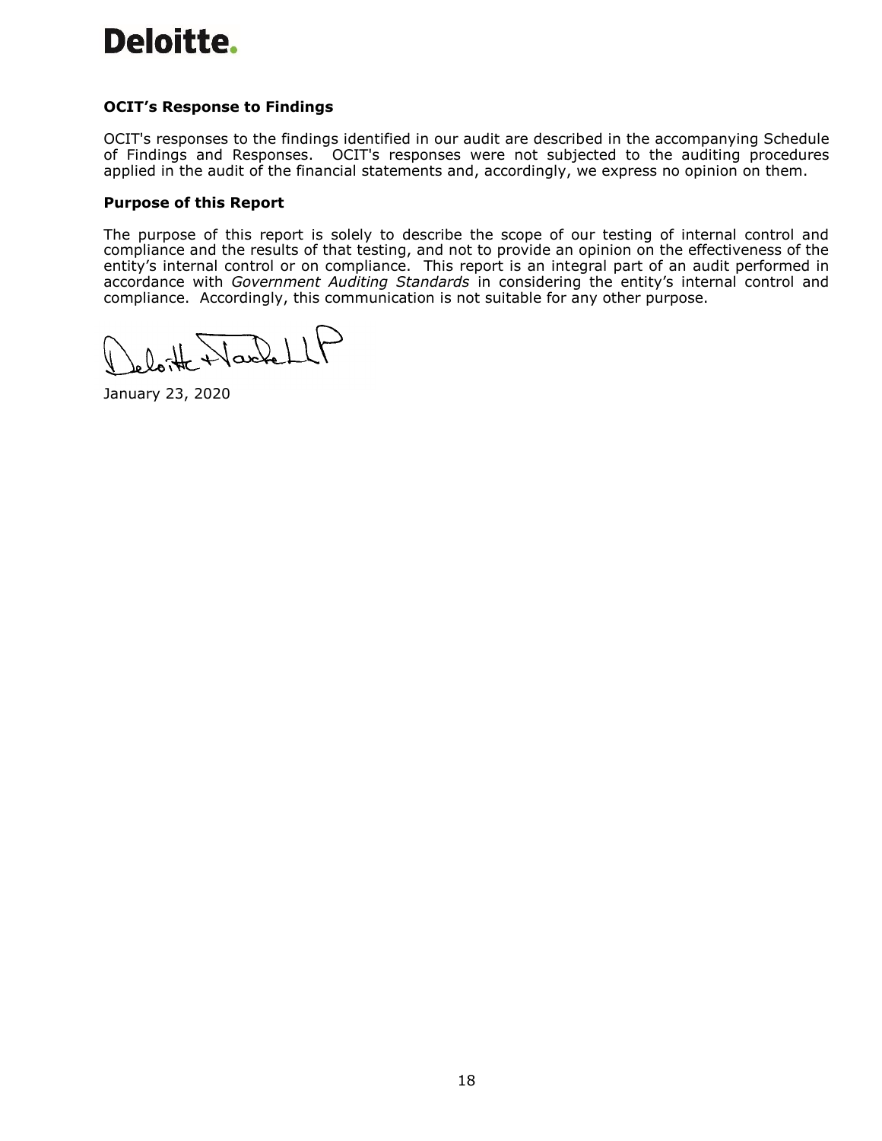# Deloitte.

# **OCIT's Response to Findings**

OCIT's responses to the findings identified in our audit are described in the accompanying Schedule of Findings and Responses. OCIT's responses were not subjected to the auditing procedures applied in the audit of the financial statements and, accordingly, we express no opinion on them.

### **Purpose of this Report**

The purpose of this report is solely to describe the scope of our testing of internal control and compliance and the results of that testing, and not to provide an opinion on the effectiveness of the entity's internal control or on compliance. This report is an integral part of an audit performed in accordance with *Government Auditing Standards* in considering the entity's internal control and compliance. Accordingly, this communication is not suitable for any other purpose.

leloite Hackell

January 23, 2020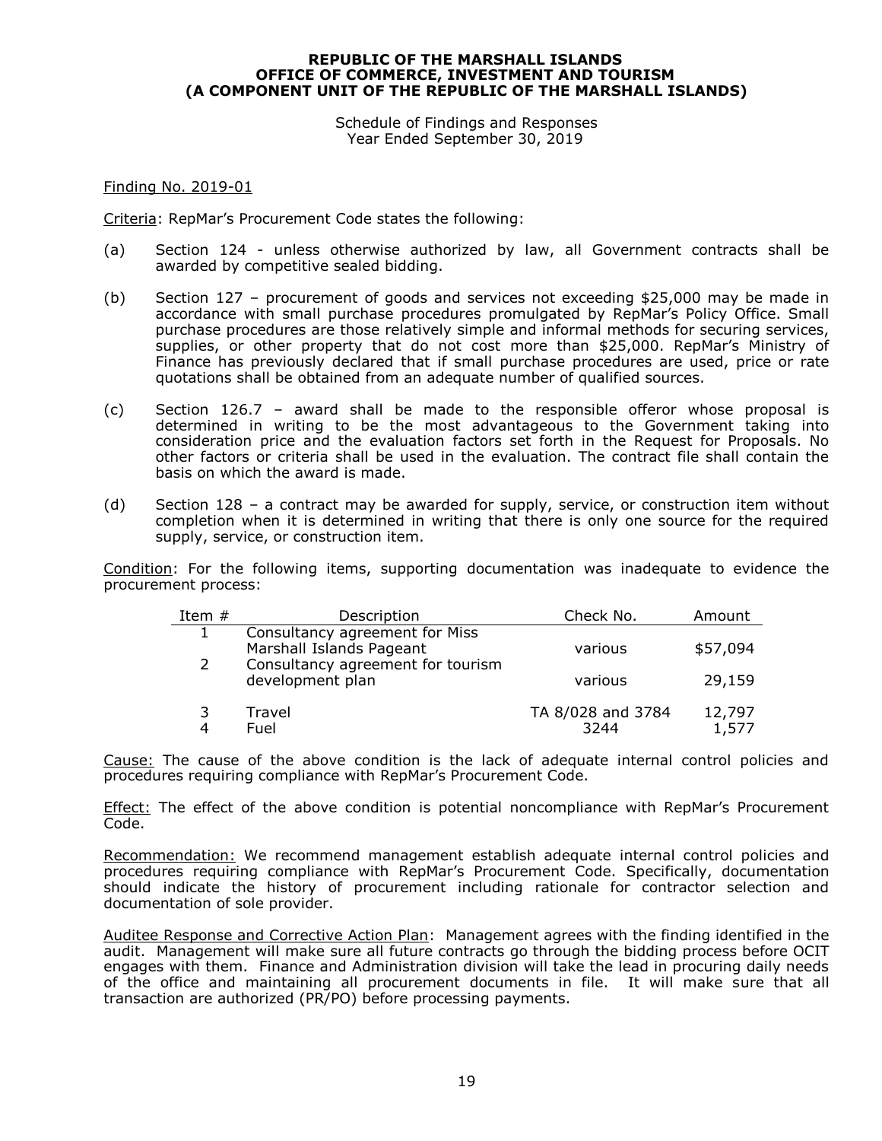Schedule of Findings and Responses Year Ended September 30, 2019

Finding No. 2019-01

Criteria: RepMar's Procurement Code states the following:

- (a) Section 124 unless otherwise authorized by law, all Government contracts shall be awarded by competitive sealed bidding.
- (b) Section 127 procurement of goods and services not exceeding \$25,000 may be made in accordance with small purchase procedures promulgated by RepMar's Policy Office. Small purchase procedures are those relatively simple and informal methods for securing services, supplies, or other property that do not cost more than \$25,000. RepMar's Ministry of Finance has previously declared that if small purchase procedures are used, price or rate quotations shall be obtained from an adequate number of qualified sources.
- (c) Section 126.7 award shall be made to the responsible offeror whose proposal is determined in writing to be the most advantageous to the Government taking into consideration price and the evaluation factors set forth in the Request for Proposals. No other factors or criteria shall be used in the evaluation. The contract file shall contain the basis on which the award is made.
- (d) Section 128 a contract may be awarded for supply, service, or construction item without completion when it is determined in writing that there is only one source for the required supply, service, or construction item.

Condition: For the following items, supporting documentation was inadequate to evidence the procurement process:

| Item $#$ | Description                                                | Check No.                 | Amount          |
|----------|------------------------------------------------------------|---------------------------|-----------------|
|          | Consultancy agreement for Miss<br>Marshall Islands Pageant | various                   | \$57,094        |
| 2        | Consultancy agreement for tourism<br>development plan      | various                   | 29,159          |
|          | Travel<br>Fuel                                             | TA 8/028 and 3784<br>3244 | 12,797<br>1,577 |

Cause: The cause of the above condition is the lack of adequate internal control policies and procedures requiring compliance with RepMar's Procurement Code.

Effect: The effect of the above condition is potential noncompliance with RepMar's Procurement Code.

Recommendation: We recommend management establish adequate internal control policies and procedures requiring compliance with RepMar's Procurement Code. Specifically, documentation should indicate the history of procurement including rationale for contractor selection and documentation of sole provider.

Auditee Response and Corrective Action Plan: Management agrees with the finding identified in the audit. Management will make sure all future contracts go through the bidding process before OCIT engages with them. Finance and Administration division will take the lead in procuring daily needs of the office and maintaining all procurement documents in file. It will make sure that all transaction are authorized (PR/PO) before processing payments.